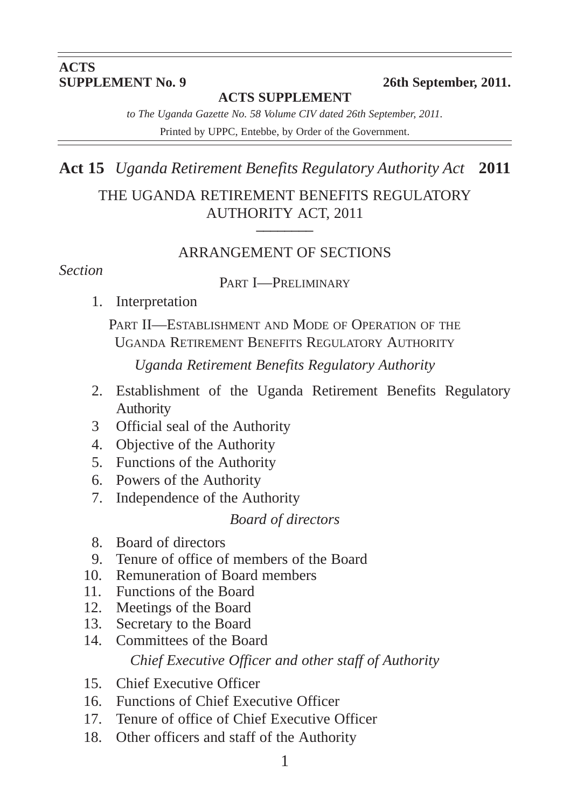# **ACTS<br>SUPPLEMENT No. 9**

#### **26th September, 2011.**

#### **ACTS SUPPLEMENT**

*to The Uganda Gazette No. 58 Volume CIV dated 26th September, 2011.* Printed by UPPC, Entebbe, by Order of the Government.

**Act 15** *Uganda Retirement Benefits Regulatory Authority Act* **2011** THE UGANDA RETIREMENT BENEFITS REGULATORY AUTHORITY ACT, 2011 **\_\_\_\_\_\_\_\_**

#### ARRANGEMENT OF SECTIONS

#### *Section*

#### PART **I**-PRELIMINARY

1. Interpretation

PART II—ESTABLISHMENT AND MODE OF OPERATION OF THE UGANDA RETIREMENT BENEFITS REGULATORY AUTHORITY

*Uganda Retirement Benefits Regulatory Authority*

- 2. Establishment of the Uganda Retirement Benefits Regulatory Authority
- 3 Official seal of the Authority
- 4. Objective of the Authority
- 5. Functions of the Authority
- 6. Powers of the Authority
- 7. Independence of the Authority

#### *Board of directors*

- 8. Board of directors
- 9. Tenure of office of members of the Board
- 10. Remuneration of Board members
- 11. Functions of the Board
- 12. Meetings of the Board
- 13. Secretary to the Board
- 14. Committees of the Board *Chief Executive Officer and other staff of Authority*
- 15. Chief Executive Officer
- 16. Functions of Chief Executive Officer
- 17. Tenure of office of Chief Executive Officer
- 18. Other officers and staff of the Authority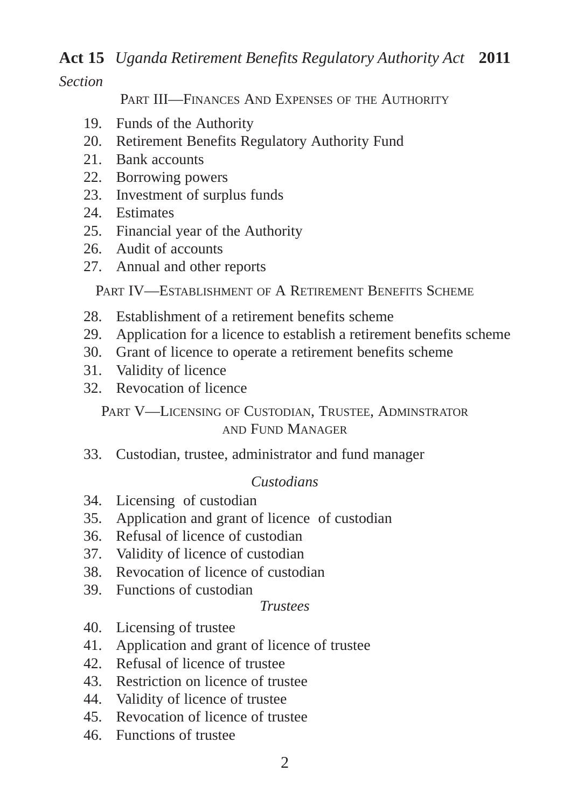*Section*

PART III—FINANCES AND EXPENSES OF THE AUTHORITY

- 19. Funds of the Authority
- 20. Retirement Benefits Regulatory Authority Fund
- 21. Bank accounts
- 22. Borrowing powers
- 23. Investment of surplus funds
- 24. Estimates
- 25. Financial year of the Authority
- 26. Audit of accounts
- 27. Annual and other reports

PART IV—ESTABLISHMENT OF A RETIREMENT BENEFITS SCHEME

- 28. Establishment of a retirement benefits scheme
- 29. Application for a licence to establish a retirement benefits scheme
- 30. Grant of licence to operate a retirement benefits scheme
- 31. Validity of licence
- 32. Revocation of licence

PART V—LICENSING OF CUSTODIAN, TRUSTEE, ADMINSTRATOR AND FUND MANAGER

33. Custodian, trustee, administrator and fund manager

## *Custodians*

- 34. Licensing of custodian
- 35. Application and grant of licence of custodian
- 36. Refusal of licence of custodian
- 37. Validity of licence of custodian
- 38. Revocation of licence of custodian
- 39. Functions of custodian

#### *Trustees*

- 40. Licensing of trustee
- 41. Application and grant of licence of trustee
- 42. Refusal of licence of trustee
- 43. Restriction on licence of trustee
- 44. Validity of licence of trustee
- 45. Revocation of licence of trustee
- 46. Functions of trustee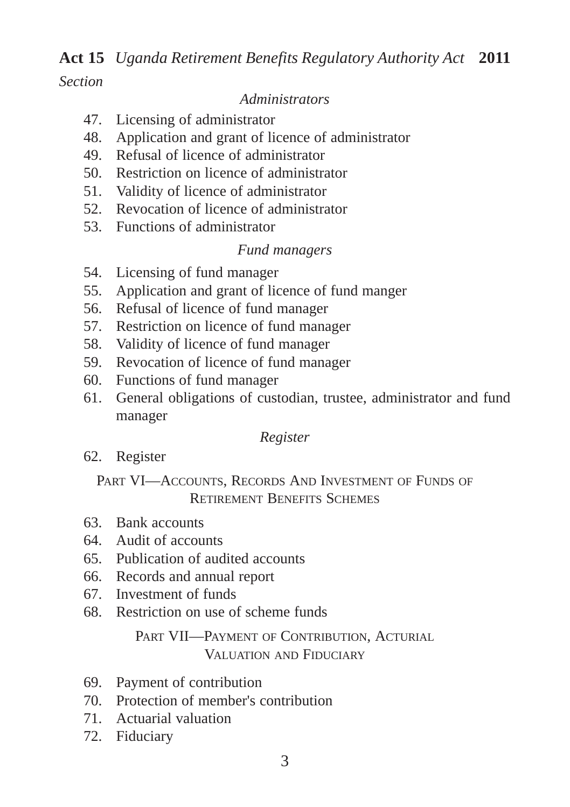#### *Section*

#### *Administrators*

- 47. Licensing of administrator
- 48. Application and grant of licence of administrator
- 49. Refusal of licence of administrator
- 50. Restriction on licence of administrator
- 51. Validity of licence of administrator
- 52. Revocation of licence of administrator
- 53. Functions of administrator

#### *Fund managers*

- 54. Licensing of fund manager
- 55. Application and grant of licence of fund manger
- 56. Refusal of licence of fund manager
- 57. Restriction on licence of fund manager
- 58. Validity of licence of fund manager
- 59. Revocation of licence of fund manager
- 60. Functions of fund manager
- 61. General obligations of custodian, trustee, administrator and fund manager

#### *Register*

62. Register

#### PART VI—ACCOUNTS, RECORDS AND INVESTMENT OF FUNDS OF RETIREMENT BENEFITS SCHEMES

- 63. Bank accounts
- 64. Audit of accounts
- 65. Publication of audited accounts
- 66. Records and annual report
- 67. Investment of funds
- 68. Restriction on use of scheme funds

#### PART VII—PAYMENT OF CONTRIBUTION, ACTURIAL VALUATION AND FIDUCIARY

- 69. Payment of contribution
- 70. Protection of member's contribution
- 71. Actuarial valuation
- 72. Fiduciary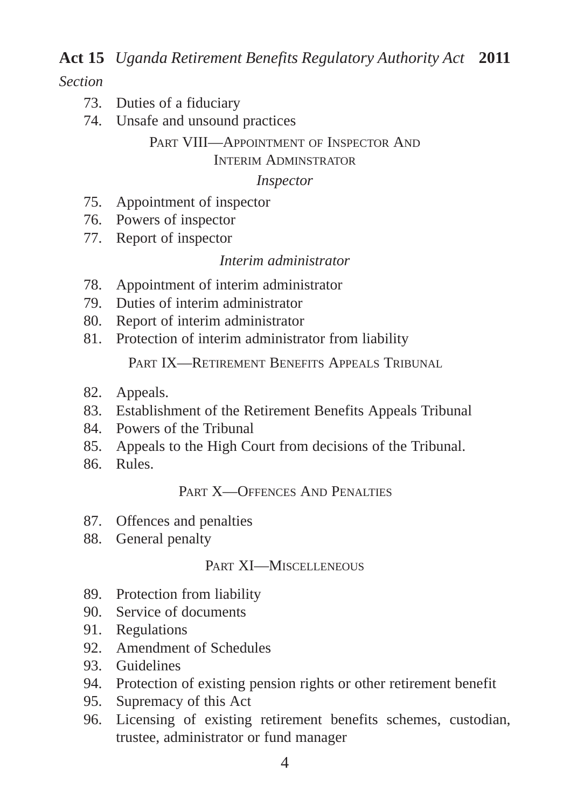#### *Section*

- 73. Duties of a fiduciary
- 74. Unsafe and unsound practices

#### PART VIII—APPOINTMENT OF INSPECTOR AND INTERIM ADMINSTRATOR

#### *Inspector*

- 75. Appointment of inspector
- 76. Powers of inspector
- 77. Report of inspector

#### *Interim administrator*

- 78. Appointment of interim administrator
- 79. Duties of interim administrator
- 80. Report of interim administrator
- 81. Protection of interim administrator from liability

PART IX—RETIREMENT BENEFITS APPEALS TRIBUNAL

- 82. Appeals.
- 83. Establishment of the Retirement Benefits Appeals Tribunal
- 84. Powers of the Tribunal
- 85. Appeals to the High Court from decisions of the Tribunal.
- 86. Rules.

#### PART **X-OFFENCES** AND PENALTIES

- 87. Offences and penalties
- 88. General penalty

#### PART XI—MISCELLENEOUS

- 89. Protection from liability
- 90. Service of documents
- 91. Regulations
- 92. Amendment of Schedules
- 93. Guidelines
- 94. Protection of existing pension rights or other retirement benefit
- 95. Supremacy of this Act
- 96. Licensing of existing retirement benefits schemes, custodian, trustee, administrator or fund manager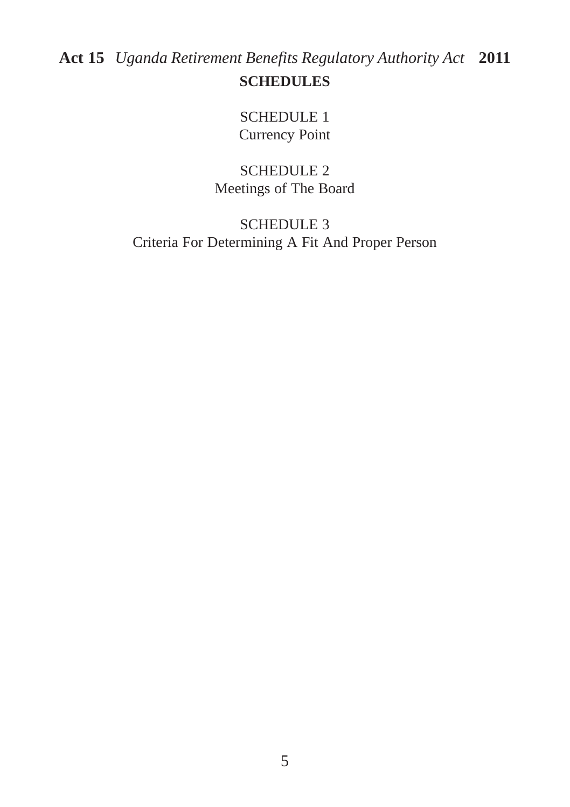SCHEDULE 1 Currency Point

SCHEDULE 2 Meetings of The Board

SCHEDULE 3 Criteria For Determining A Fit And Proper Person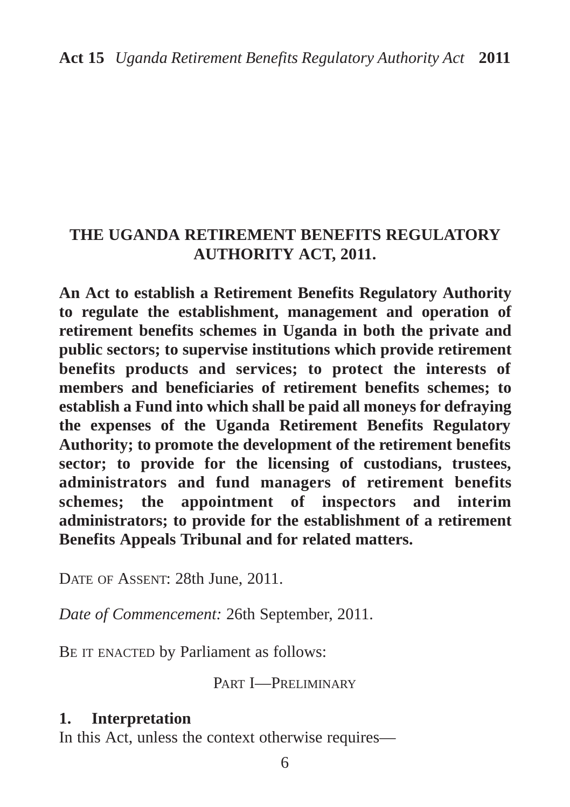## **THE UGANDA RETIREMENT BENEFITS REGULATORY AUTHORITY ACT, 2011.**

**An Act to establish a Retirement Benefits Regulatory Authority to regulate the establishment, management and operation of retirement benefits schemes in Uganda in both the private and public sectors; to supervise institutions which provide retirement benefits products and services; to protect the interests of members and beneficiaries of retirement benefits schemes; to establish a Fund into which shall be paid all moneys for defraying the expenses of the Uganda Retirement Benefits Regulatory Authority; to promote the development of the retirement benefits sector; to provide for the licensing of custodians, trustees, administrators and fund managers of retirement benefits schemes; the appointment of inspectors and interim administrators; to provide for the establishment of a retirement Benefits Appeals Tribunal and for related matters.**

DATE OF ASSENT: 28th June, 2011.

*Date of Commencement:* 26th September, 2011.

BE IT ENACTED by Parliament as follows:

PART I—PRELIMINARY

#### **1. Interpretation**

In this Act, unless the context otherwise requires—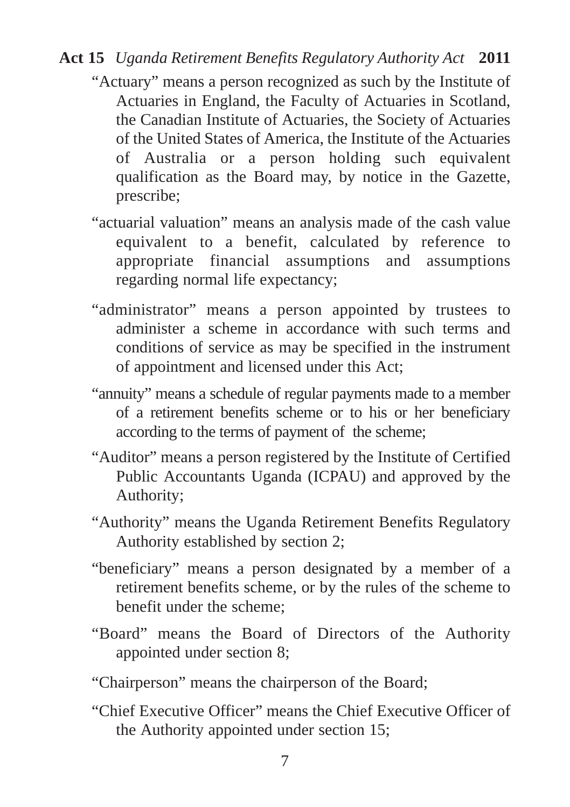- "Actuary" means a person recognized as such by the Institute of Actuaries in England, the Faculty of Actuaries in Scotland, the Canadian Institute of Actuaries, the Society of Actuaries of the United States of America, the Institute of the Actuaries of Australia or a person holding such equivalent qualification as the Board may, by notice in the Gazette, prescribe;
- "actuarial valuation" means an analysis made of the cash value equivalent to a benefit, calculated by reference to appropriate financial assumptions and assumptions regarding normal life expectancy;
- "administrator" means a person appointed by trustees to administer a scheme in accordance with such terms and conditions of service as may be specified in the instrument of appointment and licensed under this Act;
- "annuity" means a schedule of regular payments made to a member of a retirement benefits scheme or to his or her beneficiary according to the terms of payment of the scheme;
- "Auditor" means a person registered by the Institute of Certified Public Accountants Uganda (ICPAU) and approved by the Authority;
- "Authority" means the Uganda Retirement Benefits Regulatory Authority established by section 2;
- "beneficiary" means a person designated by a member of a retirement benefits scheme, or by the rules of the scheme to benefit under the scheme;
- "Board" means the Board of Directors of the Authority appointed under section 8;
- "Chairperson" means the chairperson of the Board;
- "Chief Executive Officer" means the Chief Executive Officer of the Authority appointed under section 15;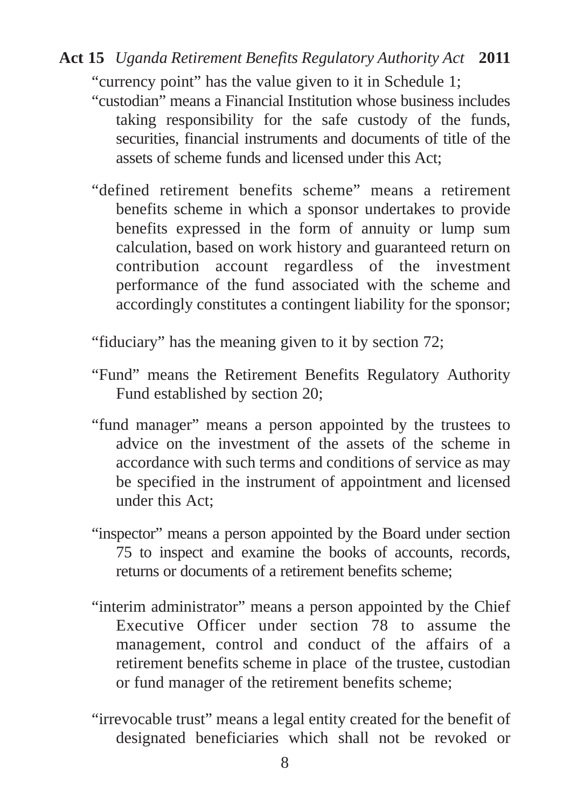"currency point" has the value given to it in Schedule 1;

- "custodian" means a Financial Institution whose business includes taking responsibility for the safe custody of the funds, securities, financial instruments and documents of title of the assets of scheme funds and licensed under this Act;
- "defined retirement benefits scheme" means a retirement benefits scheme in which a sponsor undertakes to provide benefits expressed in the form of annuity or lump sum calculation, based on work history and guaranteed return on contribution account regardless of the investment performance of the fund associated with the scheme and accordingly constitutes a contingent liability for the sponsor;
- "fiduciary" has the meaning given to it by section 72;
- "Fund" means the Retirement Benefits Regulatory Authority Fund established by section 20;
- "fund manager" means a person appointed by the trustees to advice on the investment of the assets of the scheme in accordance with such terms and conditions of service as may be specified in the instrument of appointment and licensed under this Act;
- "inspector" means a person appointed by the Board under section 75 to inspect and examine the books of accounts, records, returns or documents of a retirement benefits scheme;
- "interim administrator" means a person appointed by the Chief Executive Officer under section 78 to assume the management, control and conduct of the affairs of a retirement benefits scheme in place of the trustee, custodian or fund manager of the retirement benefits scheme;
- "irrevocable trust" means a legal entity created for the benefit of designated beneficiaries which shall not be revoked or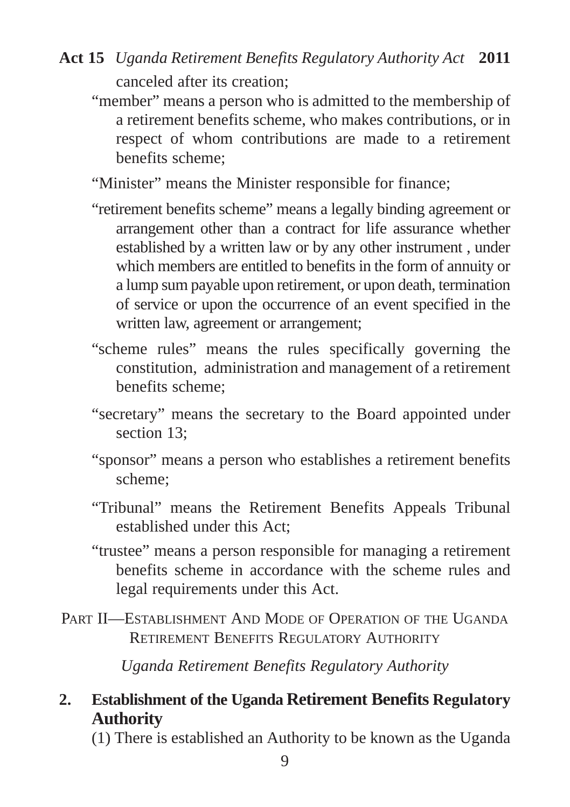- "member" means a person who is admitted to the membership of a retirement benefits scheme, who makes contributions, or in respect of whom contributions are made to a retirement benefits scheme;
- "Minister" means the Minister responsible for finance;
- "retirement benefits scheme" means a legally binding agreement or arrangement other than a contract for life assurance whether established by a written law or by any other instrument , under which members are entitled to benefits in the form of annuity or a lump sum payable upon retirement, or upon death, termination of service or upon the occurrence of an event specified in the written law, agreement or arrangement;
- "scheme rules" means the rules specifically governing the constitution, administration and management of a retirement benefits scheme;
- "secretary" means the secretary to the Board appointed under section 13;
- "sponsor" means a person who establishes a retirement benefits scheme;
- "Tribunal" means the Retirement Benefits Appeals Tribunal established under this Act;
- "trustee" means a person responsible for managing a retirement benefits scheme in accordance with the scheme rules and legal requirements under this Act.
- PART II—ESTABLISHMENT AND MODE OF OPERATION OF THE UGANDA RETIREMENT BENEFITS REGULATORY AUTHORITY

*Uganda Retirement Benefits Regulatory Authority*

## **2. Establishment of the Uganda Retirement Benefits Regulatory Authority**

(1) There is established an Authority to be known as the Uganda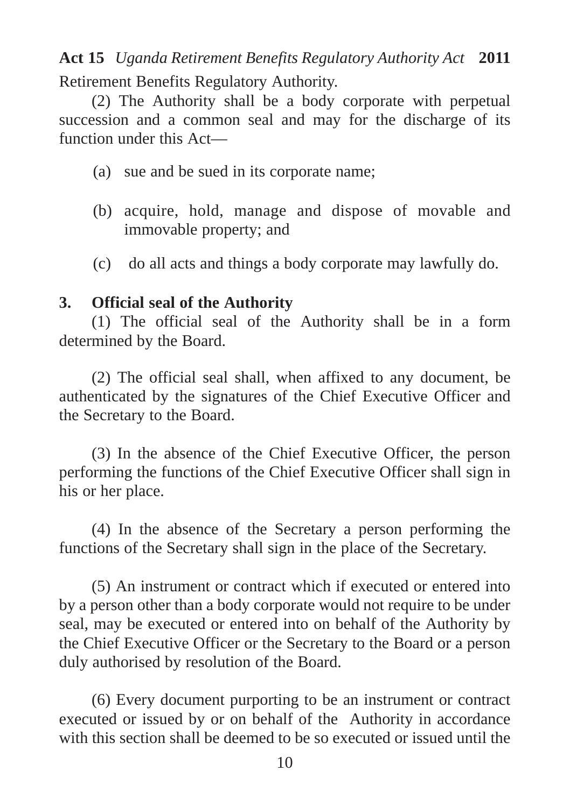## Retirement Benefits Regulatory Authority. **Act 15** *Uganda Retirement Benefits Regulatory Authority Act* **2011**

(2) The Authority shall be a body corporate with perpetual succession and a common seal and may for the discharge of its function under this Act—

- (a) sue and be sued in its corporate name;
- (b) acquire, hold, manage and dispose of movable and immovable property; and
- (c) do all acts and things a body corporate may lawfully do.

## **3. Official seal of the Authority**

(1) The official seal of the Authority shall be in a form determined by the Board.

(2) The official seal shall, when affixed to any document, be authenticated by the signatures of the Chief Executive Officer and the Secretary to the Board.

(3) In the absence of the Chief Executive Officer, the person performing the functions of the Chief Executive Officer shall sign in his or her place.

(4) In the absence of the Secretary a person performing the functions of the Secretary shall sign in the place of the Secretary.

(5) An instrument or contract which if executed or entered into by a person other than a body corporate would not require to be under seal, may be executed or entered into on behalf of the Authority by the Chief Executive Officer or the Secretary to the Board or a person duly authorised by resolution of the Board.

(6) Every document purporting to be an instrument or contract executed or issued by or on behalf of the Authority in accordance with this section shall be deemed to be so executed or issued until the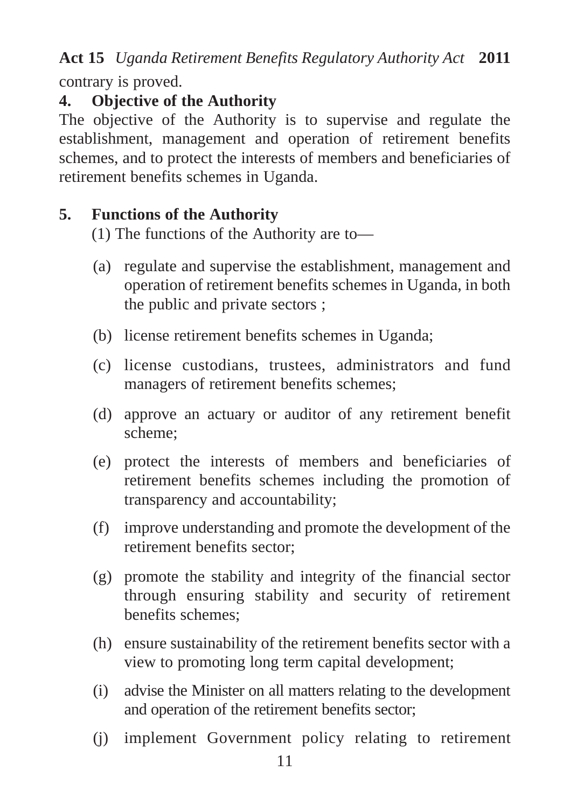contrary is proved.

# **4. Objective of the Authority**

The objective of the Authority is to supervise and regulate the establishment, management and operation of retirement benefits schemes, and to protect the interests of members and beneficiaries of retirement benefits schemes in Uganda.

# **5. Functions of the Authority**

(1) The functions of the Authority are to—

- (a) regulate and supervise the establishment, management and operation of retirement benefits schemes in Uganda, in both the public and private sectors ;
- (b) license retirement benefits schemes in Uganda;
- (c) license custodians, trustees, administrators and fund managers of retirement benefits schemes;
- (d) approve an actuary or auditor of any retirement benefit scheme;
- (e) protect the interests of members and beneficiaries of retirement benefits schemes including the promotion of transparency and accountability;
- (f) improve understanding and promote the development of the retirement benefits sector;
- (g) promote the stability and integrity of the financial sector through ensuring stability and security of retirement benefits schemes;
- (h) ensure sustainability of the retirement benefits sector with a view to promoting long term capital development;
- (i) advise the Minister on all matters relating to the development and operation of the retirement benefits sector;
- (j) implement Government policy relating to retirement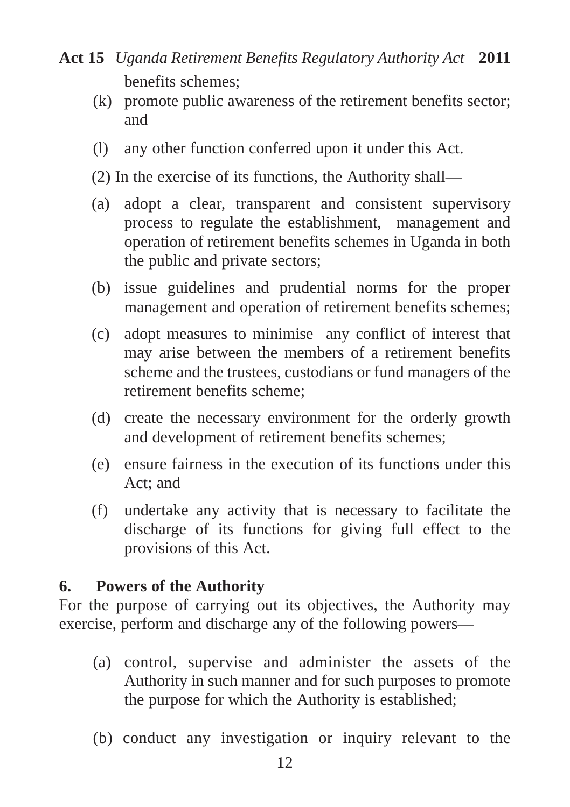- benefits schemes; **Act 15** *Uganda Retirement Benefits Regulatory Authority Act* **2011**
	- (k) promote public awareness of the retirement benefits sector; and
	- (l) any other function conferred upon it under this Act.
	- (2) In the exercise of its functions, the Authority shall—
	- (a) adopt a clear, transparent and consistent supervisory process to regulate the establishment, management and operation of retirement benefits schemes in Uganda in both the public and private sectors;
	- (b) issue guidelines and prudential norms for the proper management and operation of retirement benefits schemes;
	- (c) adopt measures to minimise any conflict of interest that may arise between the members of a retirement benefits scheme and the trustees, custodians or fund managers of the retirement benefits scheme;
	- (d) create the necessary environment for the orderly growth and development of retirement benefits schemes;
	- (e) ensure fairness in the execution of its functions under this Act; and
	- (f) undertake any activity that is necessary to facilitate the discharge of its functions for giving full effect to the provisions of this Act.

## **6. Powers of the Authority**

For the purpose of carrying out its objectives, the Authority may exercise, perform and discharge any of the following powers—

- (a) control, supervise and administer the assets of the Authority in such manner and for such purposes to promote the purpose for which the Authority is established;
- (b) conduct any investigation or inquiry relevant to the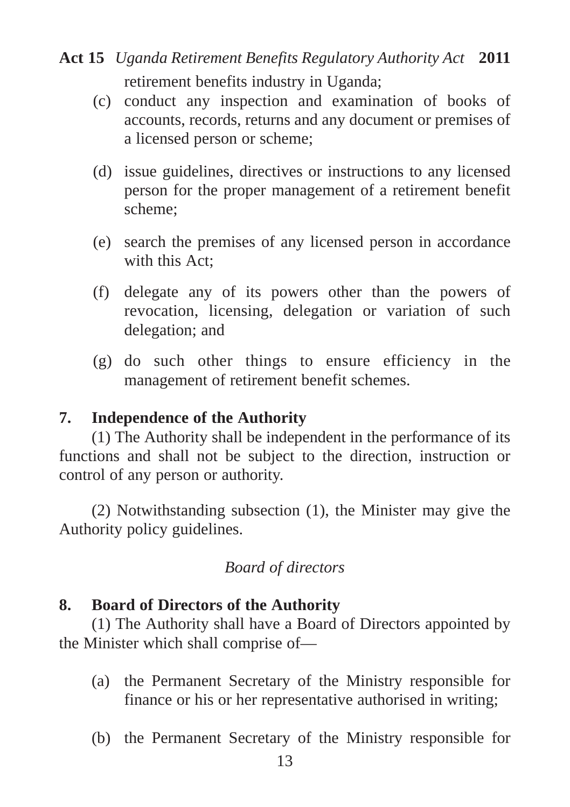# retirement benefits industry in Uganda; **Act 15** *Uganda Retirement Benefits Regulatory Authority Act* **2011**

- (c) conduct any inspection and examination of books of accounts, records, returns and any document or premises of a licensed person or scheme;
- (d) issue guidelines, directives or instructions to any licensed person for the proper management of a retirement benefit scheme;
- (e) search the premises of any licensed person in accordance with this Act;
- (f) delegate any of its powers other than the powers of revocation, licensing, delegation or variation of such delegation; and
- (g) do such other things to ensure efficiency in the management of retirement benefit schemes.

## **7. Independence of the Authority**

(1) The Authority shall be independent in the performance of its functions and shall not be subject to the direction, instruction or control of any person or authority.

(2) Notwithstanding subsection (1), the Minister may give the Authority policy guidelines.

## *Board of directors*

## **8. Board of Directors of the Authority**

(1) The Authority shall have a Board of Directors appointed by the Minister which shall comprise of—

- (a) the Permanent Secretary of the Ministry responsible for finance or his or her representative authorised in writing;
- (b) the Permanent Secretary of the Ministry responsible for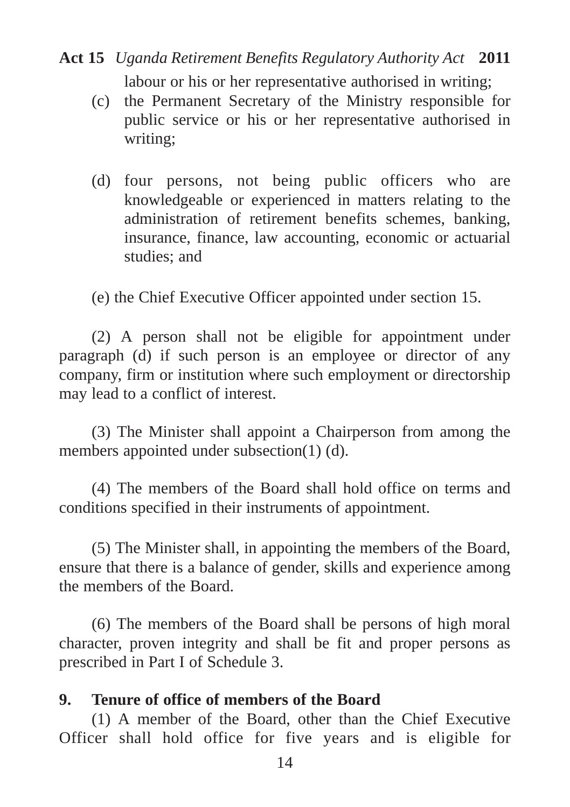## labour or his or her representative authorised in writing; **Act 15** *Uganda Retirement Benefits Regulatory Authority Act* **2011**

- (c) the Permanent Secretary of the Ministry responsible for public service or his or her representative authorised in writing;
- (d) four persons, not being public officers who are knowledgeable or experienced in matters relating to the administration of retirement benefits schemes, banking, insurance, finance, law accounting, economic or actuarial studies; and

(e) the Chief Executive Officer appointed under section 15.

(2) A person shall not be eligible for appointment under paragraph (d) if such person is an employee or director of any company, firm or institution where such employment or directorship may lead to a conflict of interest.

(3) The Minister shall appoint a Chairperson from among the members appointed under subsection(1) (d).

(4) The members of the Board shall hold office on terms and conditions specified in their instruments of appointment.

(5) The Minister shall, in appointing the members of the Board, ensure that there is a balance of gender, skills and experience among the members of the Board.

(6) The members of the Board shall be persons of high moral character, proven integrity and shall be fit and proper persons as prescribed in Part I of Schedule 3.

#### **9. Tenure of office of members of the Board**

(1) A member of the Board, other than the Chief Executive Officer shall hold office for five years and is eligible for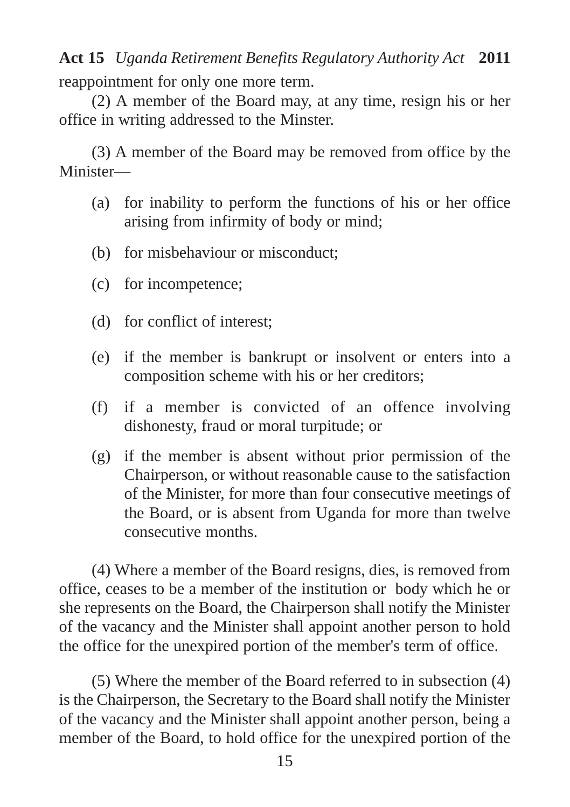reappointment for only one more term. **Act 15** *Uganda Retirement Benefits Regulatory Authority Act* **2011**

(2) A member of the Board may, at any time, resign his or her office in writing addressed to the Minster.

(3) A member of the Board may be removed from office by the Minister—

- (a) for inability to perform the functions of his or her office arising from infirmity of body or mind;
- (b) for misbehaviour or misconduct;
- (c) for incompetence;
- (d) for conflict of interest;
- (e) if the member is bankrupt or insolvent or enters into a composition scheme with his or her creditors;
- (f) if a member is convicted of an offence involving dishonesty, fraud or moral turpitude; or
- (g) if the member is absent without prior permission of the Chairperson, or without reasonable cause to the satisfaction of the Minister, for more than four consecutive meetings of the Board, or is absent from Uganda for more than twelve consecutive months.

(4) Where a member of the Board resigns, dies, is removed from office, ceases to be a member of the institution or body which he or she represents on the Board, the Chairperson shall notify the Minister of the vacancy and the Minister shall appoint another person to hold the office for the unexpired portion of the member's term of office.

(5) Where the member of the Board referred to in subsection (4) is the Chairperson, the Secretary to the Board shall notify the Minister of the vacancy and the Minister shall appoint another person, being a member of the Board, to hold office for the unexpired portion of the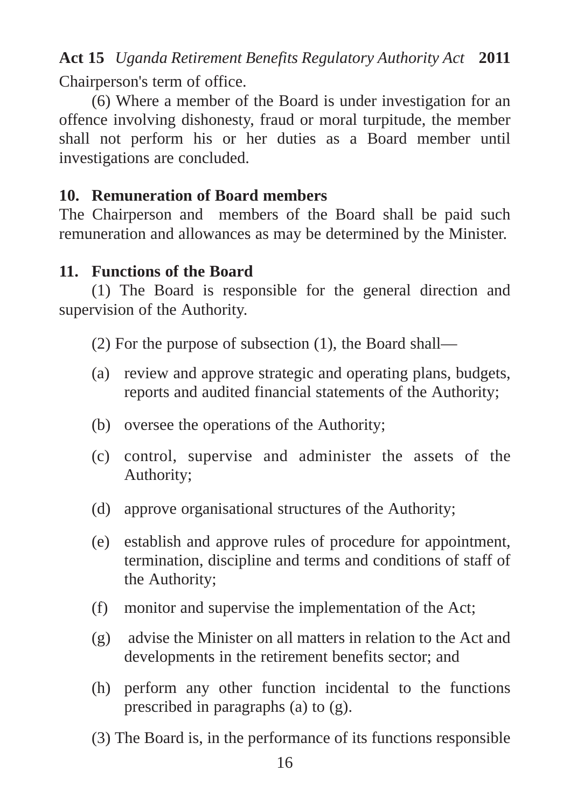Chairperson's term of office.

(6) Where a member of the Board is under investigation for an offence involving dishonesty, fraud or moral turpitude, the member shall not perform his or her duties as a Board member until investigations are concluded.

## **10. Remuneration of Board members**

The Chairperson and members of the Board shall be paid such remuneration and allowances as may be determined by the Minister.

## **11. Functions of the Board**

(1) The Board is responsible for the general direction and supervision of the Authority.

(2) For the purpose of subsection (1), the Board shall—

- (a) review and approve strategic and operating plans, budgets, reports and audited financial statements of the Authority;
- (b) oversee the operations of the Authority;
- (c) control, supervise and administer the assets of the Authority;
- (d) approve organisational structures of the Authority;
- (e) establish and approve rules of procedure for appointment, termination, discipline and terms and conditions of staff of the Authority;
- (f) monitor and supervise the implementation of the Act;
- (g) advise the Minister on all matters in relation to the Act and developments in the retirement benefits sector; and
- (h) perform any other function incidental to the functions prescribed in paragraphs (a) to (g).
- (3) The Board is, in the performance of its functions responsible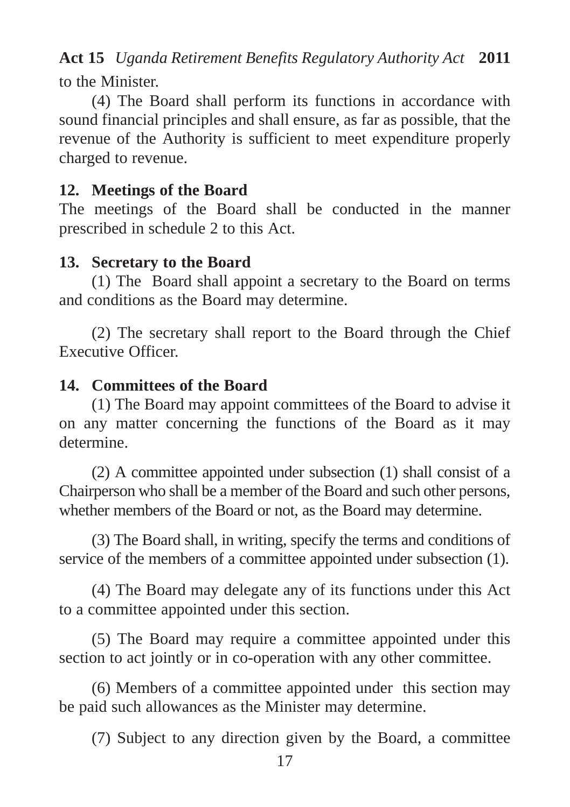to the Minister.

(4) The Board shall perform its functions in accordance with sound financial principles and shall ensure, as far as possible, that the revenue of the Authority is sufficient to meet expenditure properly charged to revenue.

## **12. Meetings of the Board**

The meetings of the Board shall be conducted in the manner prescribed in schedule 2 to this Act.

# **13. Secretary to the Board**

(1) The Board shall appoint a secretary to the Board on terms and conditions as the Board may determine.

(2) The secretary shall report to the Board through the Chief Executive Officer.

## **14. Committees of the Board**

(1) The Board may appoint committees of the Board to advise it on any matter concerning the functions of the Board as it may determine.

(2) A committee appointed under subsection (1) shall consist of a Chairperson who shall be a member of the Board and such other persons, whether members of the Board or not, as the Board may determine.

(3) The Board shall, in writing, specify the terms and conditions of service of the members of a committee appointed under subsection (1).

(4) The Board may delegate any of its functions under this Act to a committee appointed under this section.

(5) The Board may require a committee appointed under this section to act jointly or in co-operation with any other committee.

(6) Members of a committee appointed under this section may be paid such allowances as the Minister may determine.

(7) Subject to any direction given by the Board, a committee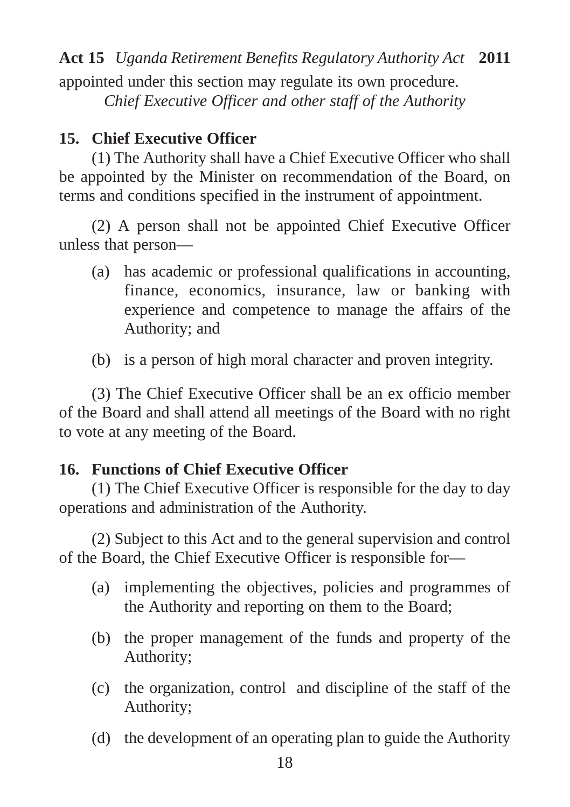appointed under this section may regulate its own procedure. *Chief Executive Officer and other staff of the Authority*

## **15. Chief Executive Officer**

(1) The Authority shall have a Chief Executive Officer who shall be appointed by the Minister on recommendation of the Board, on terms and conditions specified in the instrument of appointment.

(2) A person shall not be appointed Chief Executive Officer unless that person—

- (a) has academic or professional qualifications in accounting, finance, economics, insurance, law or banking with experience and competence to manage the affairs of the Authority; and
- (b) is a person of high moral character and proven integrity.

(3) The Chief Executive Officer shall be an ex officio member of the Board and shall attend all meetings of the Board with no right to vote at any meeting of the Board.

## **16. Functions of Chief Executive Officer**

(1) The Chief Executive Officer is responsible for the day to day operations and administration of the Authority.

(2) Subject to this Act and to the general supervision and control of the Board, the Chief Executive Officer is responsible for—

- (a) implementing the objectives, policies and programmes of the Authority and reporting on them to the Board;
- (b) the proper management of the funds and property of the Authority;
- (c) the organization, control and discipline of the staff of the Authority;
- (d) the development of an operating plan to guide the Authority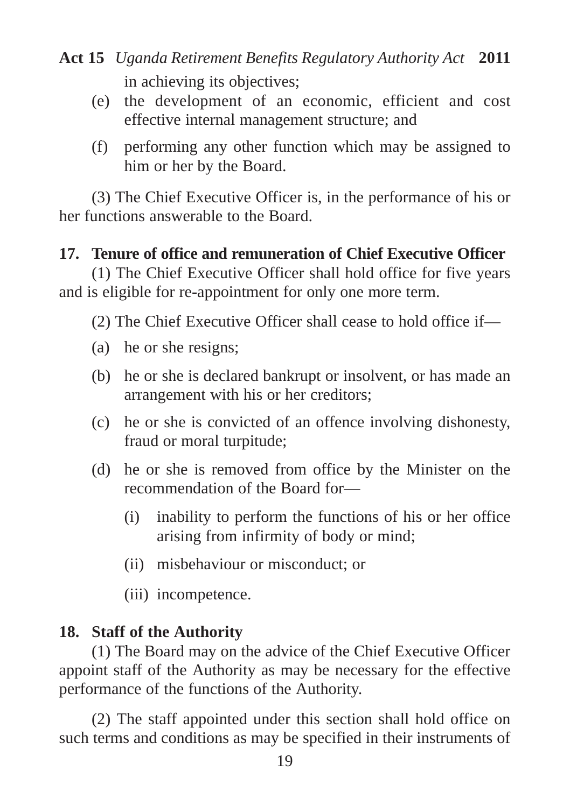- in achieving its objectives; **Act 15** *Uganda Retirement Benefits Regulatory Authority Act* **2011**
	- (e) the development of an economic, efficient and cost effective internal management structure; and
	- (f) performing any other function which may be assigned to him or her by the Board.

(3) The Chief Executive Officer is, in the performance of his or her functions answerable to the Board.

## **17. Tenure of office and remuneration of Chief Executive Officer**

(1) The Chief Executive Officer shall hold office for five years and is eligible for re-appointment for only one more term.

(2) The Chief Executive Officer shall cease to hold office if—

- (a) he or she resigns;
- (b) he or she is declared bankrupt or insolvent, or has made an arrangement with his or her creditors;
- (c) he or she is convicted of an offence involving dishonesty, fraud or moral turpitude;
- (d) he or she is removed from office by the Minister on the recommendation of the Board for—
	- (i) inability to perform the functions of his or her office arising from infirmity of body or mind;
	- (ii) misbehaviour or misconduct; or
	- (iii) incompetence.

## **18. Staff of the Authority**

(1) The Board may on the advice of the Chief Executive Officer appoint staff of the Authority as may be necessary for the effective performance of the functions of the Authority.

(2) The staff appointed under this section shall hold office on such terms and conditions as may be specified in their instruments of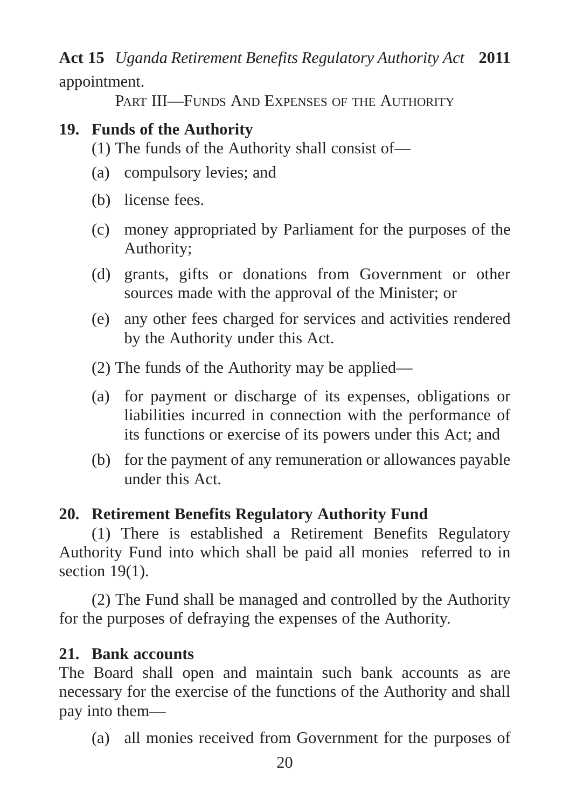PART III—FUNDS AND EXPENSES OF THE AUTHORITY

# **19. Funds of the Authority**

(1) The funds of the Authority shall consist of—

- (a) compulsory levies; and
- (b) license fees.
- (c) money appropriated by Parliament for the purposes of the Authority;
- (d) grants, gifts or donations from Government or other sources made with the approval of the Minister; or
- (e) any other fees charged for services and activities rendered by the Authority under this Act.
- (2) The funds of the Authority may be applied—
- (a) for payment or discharge of its expenses, obligations or liabilities incurred in connection with the performance of its functions or exercise of its powers under this Act; and
- (b) for the payment of any remuneration or allowances payable under this Act.

## **20. Retirement Benefits Regulatory Authority Fund**

(1) There is established a Retirement Benefits Regulatory Authority Fund into which shall be paid all monies referred to in section 19(1).

(2) The Fund shall be managed and controlled by the Authority for the purposes of defraying the expenses of the Authority.

## **21. Bank accounts**

The Board shall open and maintain such bank accounts as are necessary for the exercise of the functions of the Authority and shall pay into them—

(a) all monies received from Government for the purposes of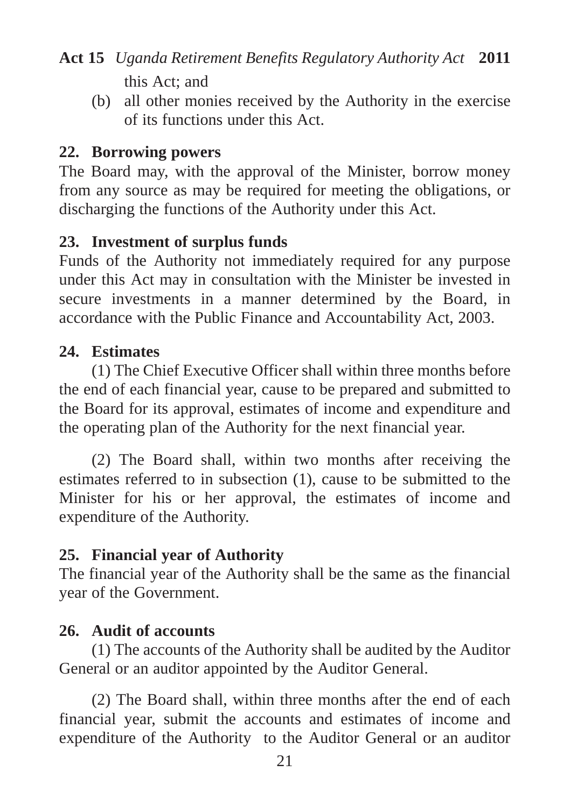this Act; and

(b) all other monies received by the Authority in the exercise of its functions under this Act.

## **22. Borrowing powers**

The Board may, with the approval of the Minister, borrow money from any source as may be required for meeting the obligations, or discharging the functions of the Authority under this Act.

## **23. Investment of surplus funds**

Funds of the Authority not immediately required for any purpose under this Act may in consultation with the Minister be invested in secure investments in a manner determined by the Board, in accordance with the Public Finance and Accountability Act, 2003.

## **24. Estimates**

(1) The Chief Executive Officer shall within three months before the end of each financial year, cause to be prepared and submitted to the Board for its approval, estimates of income and expenditure and the operating plan of the Authority for the next financial year.

(2) The Board shall, within two months after receiving the estimates referred to in subsection (1), cause to be submitted to the Minister for his or her approval, the estimates of income and expenditure of the Authority.

## **25. Financial year of Authority**

The financial year of the Authority shall be the same as the financial year of the Government.

## **26. Audit of accounts**

(1) The accounts of the Authority shall be audited by the Auditor General or an auditor appointed by the Auditor General.

(2) The Board shall, within three months after the end of each financial year, submit the accounts and estimates of income and expenditure of the Authority to the Auditor General or an auditor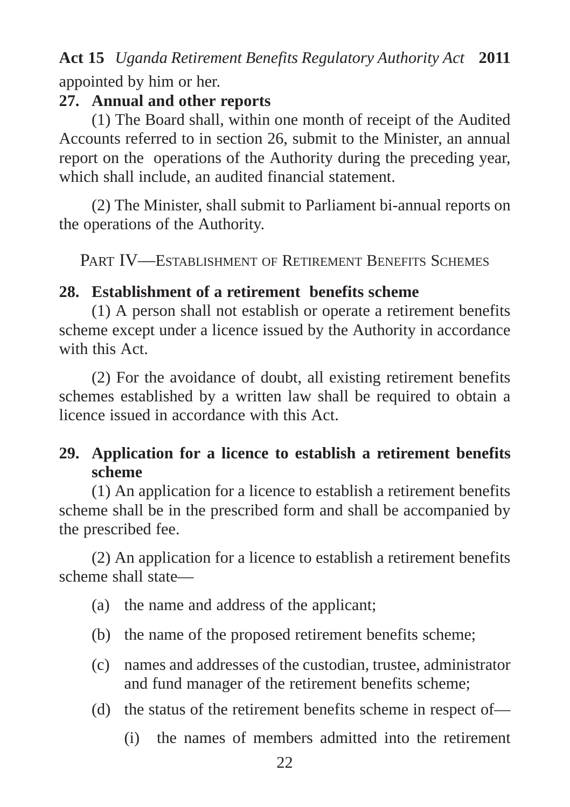appointed by him or her.

## **27. Annual and other reports**

(1) The Board shall, within one month of receipt of the Audited Accounts referred to in section 26, submit to the Minister, an annual report on the operations of the Authority during the preceding year, which shall include, an audited financial statement.

(2) The Minister, shall submit to Parliament bi-annual reports on the operations of the Authority.

PART IV—ESTABLISHMENT OF RETIREMENT BENEFITS SCHEMES

# **28. Establishment of a retirement benefits scheme**

(1) A person shall not establish or operate a retirement benefits scheme except under a licence issued by the Authority in accordance with this Act.

(2) For the avoidance of doubt, all existing retirement benefits schemes established by a written law shall be required to obtain a licence issued in accordance with this Act.

# **29. Application for a licence to establish a retirement benefits scheme**

(1) An application for a licence to establish a retirement benefits scheme shall be in the prescribed form and shall be accompanied by the prescribed fee.

(2) An application for a licence to establish a retirement benefits scheme shall state—

- (a) the name and address of the applicant;
- (b) the name of the proposed retirement benefits scheme;
- (c) names and addresses of the custodian, trustee, administrator and fund manager of the retirement benefits scheme;
- (d) the status of the retirement benefits scheme in respect of—
	- (i) the names of members admitted into the retirement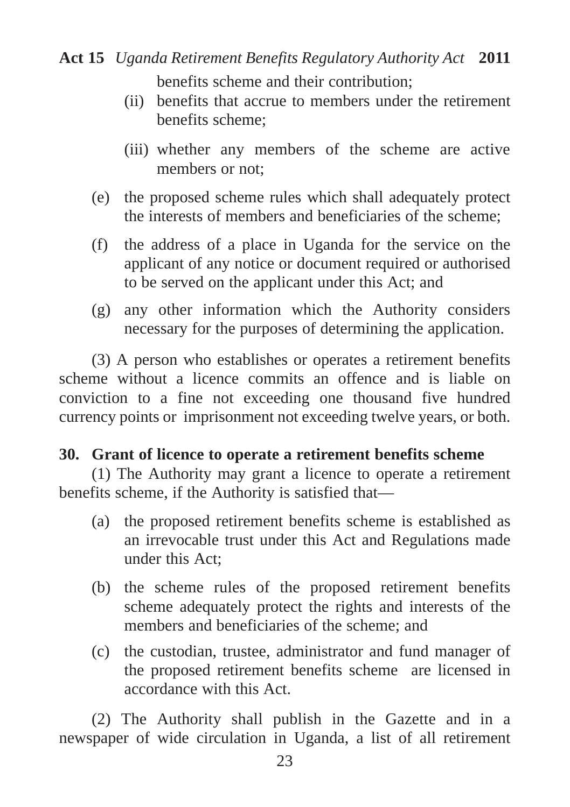benefits scheme and their contribution;

- (ii) benefits that accrue to members under the retirement benefits scheme;
- (iii) whether any members of the scheme are active members or not;
- (e) the proposed scheme rules which shall adequately protect the interests of members and beneficiaries of the scheme;
- (f) the address of a place in Uganda for the service on the applicant of any notice or document required or authorised to be served on the applicant under this Act; and
- (g) any other information which the Authority considers necessary for the purposes of determining the application.

(3) A person who establishes or operates a retirement benefits scheme without a licence commits an offence and is liable on conviction to a fine not exceeding one thousand five hundred currency points or imprisonment not exceeding twelve years, or both.

## **30. Grant of licence to operate a retirement benefits scheme**

(1) The Authority may grant a licence to operate a retirement benefits scheme, if the Authority is satisfied that—

- (a) the proposed retirement benefits scheme is established as an irrevocable trust under this Act and Regulations made under this Act;
- (b) the scheme rules of the proposed retirement benefits scheme adequately protect the rights and interests of the members and beneficiaries of the scheme; and
- (c) the custodian, trustee, administrator and fund manager of the proposed retirement benefits scheme are licensed in accordance with this Act.

(2) The Authority shall publish in the Gazette and in a newspaper of wide circulation in Uganda, a list of all retirement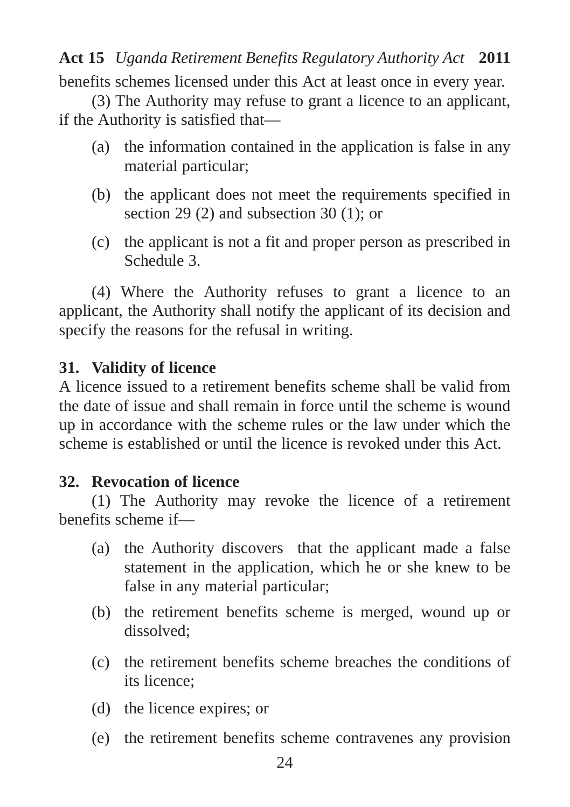benefits schemes licensed under this Act at least once in every year.

(3) The Authority may refuse to grant a licence to an applicant, if the Authority is satisfied that—

- (a) the information contained in the application is false in any material particular;
- (b) the applicant does not meet the requirements specified in section 29 (2) and subsection 30 (1); or
- (c) the applicant is not a fit and proper person as prescribed in Schedule 3.

(4) Where the Authority refuses to grant a licence to an applicant, the Authority shall notify the applicant of its decision and specify the reasons for the refusal in writing.

## **31. Validity of licence**

A licence issued to a retirement benefits scheme shall be valid from the date of issue and shall remain in force until the scheme is wound up in accordance with the scheme rules or the law under which the scheme is established or until the licence is revoked under this Act.

## **32. Revocation of licence**

(1) The Authority may revoke the licence of a retirement benefits scheme if—

- (a) the Authority discovers that the applicant made a false statement in the application, which he or she knew to be false in any material particular;
- (b) the retirement benefits scheme is merged, wound up or dissolved;
- (c) the retirement benefits scheme breaches the conditions of its licence;
- (d) the licence expires; or
- (e) the retirement benefits scheme contravenes any provision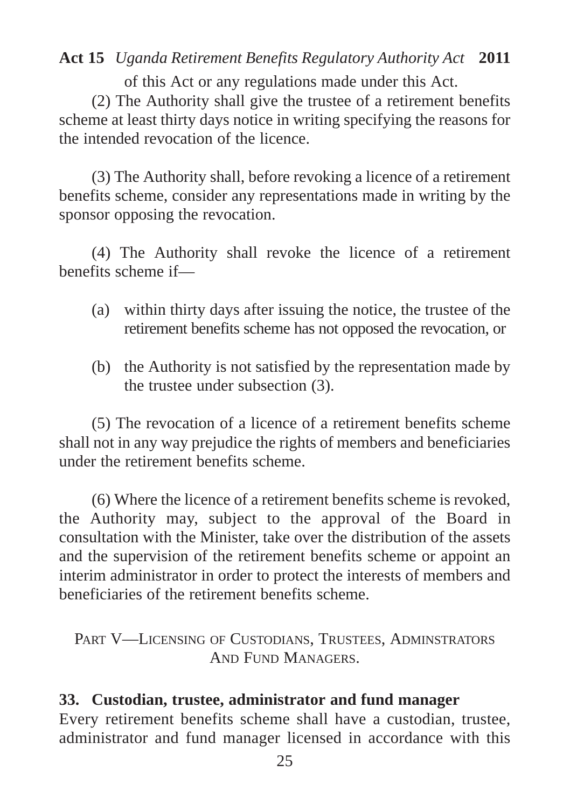of this Act or any regulations made under this Act.

(2) The Authority shall give the trustee of a retirement benefits scheme at least thirty days notice in writing specifying the reasons for the intended revocation of the licence.

(3) The Authority shall, before revoking a licence of a retirement benefits scheme, consider any representations made in writing by the sponsor opposing the revocation.

(4) The Authority shall revoke the licence of a retirement benefits scheme if—

- (a) within thirty days after issuing the notice, the trustee of the retirement benefits scheme has not opposed the revocation, or
- (b) the Authority is not satisfied by the representation made by the trustee under subsection (3).

(5) The revocation of a licence of a retirement benefits scheme shall not in any way prejudice the rights of members and beneficiaries under the retirement benefits scheme.

(6) Where the licence of a retirement benefits scheme is revoked, the Authority may, subject to the approval of the Board in consultation with the Minister, take over the distribution of the assets and the supervision of the retirement benefits scheme or appoint an interim administrator in order to protect the interests of members and beneficiaries of the retirement benefits scheme.

PART V—LICENSING OF CUSTODIANS, TRUSTEES, ADMINSTRATORS AND FUND MANAGERS.

## **33. Custodian, trustee, administrator and fund manager**

Every retirement benefits scheme shall have a custodian, trustee, administrator and fund manager licensed in accordance with this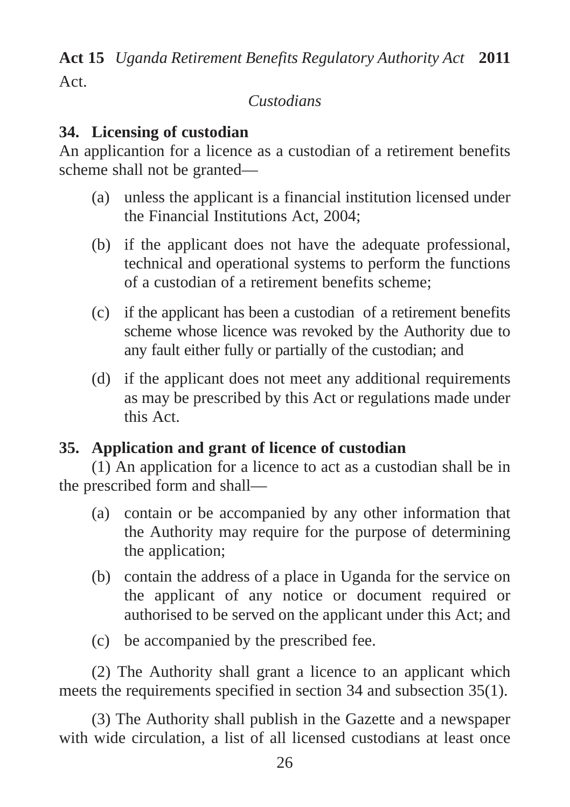Act.

# *Custodians*

# **34. Licensing of custodian**

An applicantion for a licence as a custodian of a retirement benefits scheme shall not be granted—

- (a) unless the applicant is a financial institution licensed under the Financial Institutions Act, 2004;
- (b) if the applicant does not have the adequate professional, technical and operational systems to perform the functions of a custodian of a retirement benefits scheme;
- (c) if the applicant has been a custodian of a retirement benefits scheme whose licence was revoked by the Authority due to any fault either fully or partially of the custodian; and
- (d) if the applicant does not meet any additional requirements as may be prescribed by this Act or regulations made under this Act.

# **35. Application and grant of licence of custodian**

(1) An application for a licence to act as a custodian shall be in the prescribed form and shall—

- (a) contain or be accompanied by any other information that the Authority may require for the purpose of determining the application;
- (b) contain the address of a place in Uganda for the service on the applicant of any notice or document required or authorised to be served on the applicant under this Act; and
- (c) be accompanied by the prescribed fee.

(2) The Authority shall grant a licence to an applicant which meets the requirements specified in section 34 and subsection 35(1).

(3) The Authority shall publish in the Gazette and a newspaper with wide circulation, a list of all licensed custodians at least once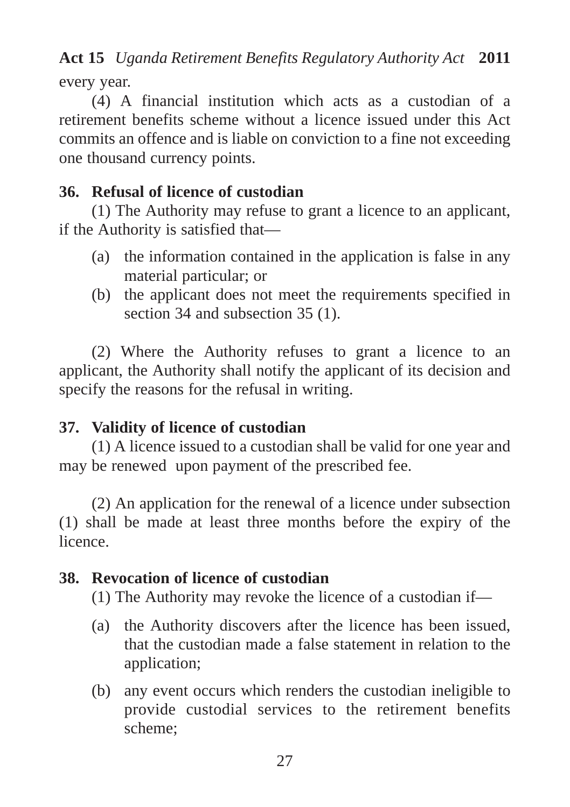every year.

(4) A financial institution which acts as a custodian of a retirement benefits scheme without a licence issued under this Act commits an offence and is liable on conviction to a fine not exceeding one thousand currency points.

# **36. Refusal of licence of custodian**

(1) The Authority may refuse to grant a licence to an applicant, if the Authority is satisfied that—

- (a) the information contained in the application is false in any material particular; or
- (b) the applicant does not meet the requirements specified in section 34 and subsection 35 (1).

(2) Where the Authority refuses to grant a licence to an applicant, the Authority shall notify the applicant of its decision and specify the reasons for the refusal in writing.

# **37. Validity of licence of custodian**

(1) A licence issued to a custodian shall be valid for one year and may be renewed upon payment of the prescribed fee.

(2) An application for the renewal of a licence under subsection (1) shall be made at least three months before the expiry of the licence.

# **38. Revocation of licence of custodian**

(1) The Authority may revoke the licence of a custodian if—

- (a) the Authority discovers after the licence has been issued, that the custodian made a false statement in relation to the application;
- (b) any event occurs which renders the custodian ineligible to provide custodial services to the retirement benefits scheme;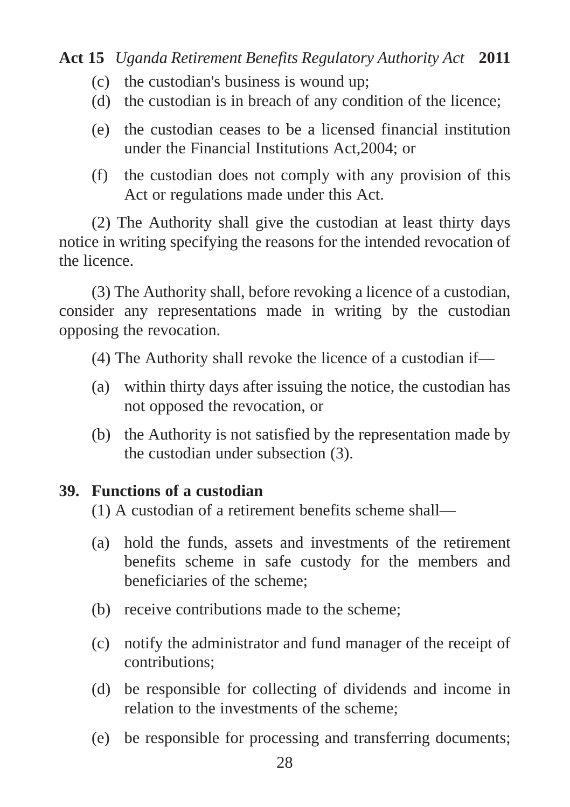- (c) the custodian's business is wound up;
- (d) the custodian is in breach of any condition of the licence;
- (e) the custodian ceases to be a licensed financial institution under the Financial Institutions Act,2004; or
- (f) the custodian does not comply with any provision of this Act or regulations made under this Act.

(2) The Authority shall give the custodian at least thirty days notice in writing specifying the reasons for the intended revocation of the licence.

(3) The Authority shall, before revoking a licence of a custodian, consider any representations made in writing by the custodian opposing the revocation.

(4) The Authority shall revoke the licence of a custodian if—

- (a) within thirty days after issuing the notice, the custodian has not opposed the revocation, or
- (b) the Authority is not satisfied by the representation made by the custodian under subsection (3).

## **39. Functions of a custodian**

(1) A custodian of a retirement benefits scheme shall—

- (a) hold the funds, assets and investments of the retirement benefits scheme in safe custody for the members and beneficiaries of the scheme;
- (b) receive contributions made to the scheme;
- (c) notify the administrator and fund manager of the receipt of contributions;
- (d) be responsible for collecting of dividends and income in relation to the investments of the scheme;
- (e) be responsible for processing and transferring documents;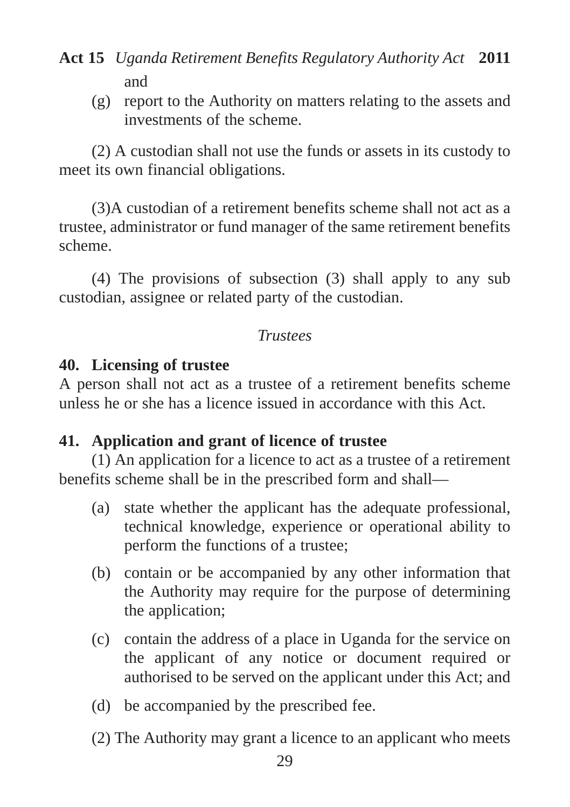(g) report to the Authority on matters relating to the assets and investments of the scheme.

(2) A custodian shall not use the funds or assets in its custody to meet its own financial obligations.

(3)A custodian of a retirement benefits scheme shall not act as a trustee, administrator or fund manager of the same retirement benefits scheme.

(4) The provisions of subsection (3) shall apply to any sub custodian, assignee or related party of the custodian.

#### *Trustees*

## **40. Licensing of trustee**

A person shall not act as a trustee of a retirement benefits scheme unless he or she has a licence issued in accordance with this Act.

## **41. Application and grant of licence of trustee**

(1) An application for a licence to act as a trustee of a retirement benefits scheme shall be in the prescribed form and shall—

- (a) state whether the applicant has the adequate professional, technical knowledge, experience or operational ability to perform the functions of a trustee;
- (b) contain or be accompanied by any other information that the Authority may require for the purpose of determining the application;
- (c) contain the address of a place in Uganda for the service on the applicant of any notice or document required or authorised to be served on the applicant under this Act; and
- (d) be accompanied by the prescribed fee.
- (2) The Authority may grant a licence to an applicant who meets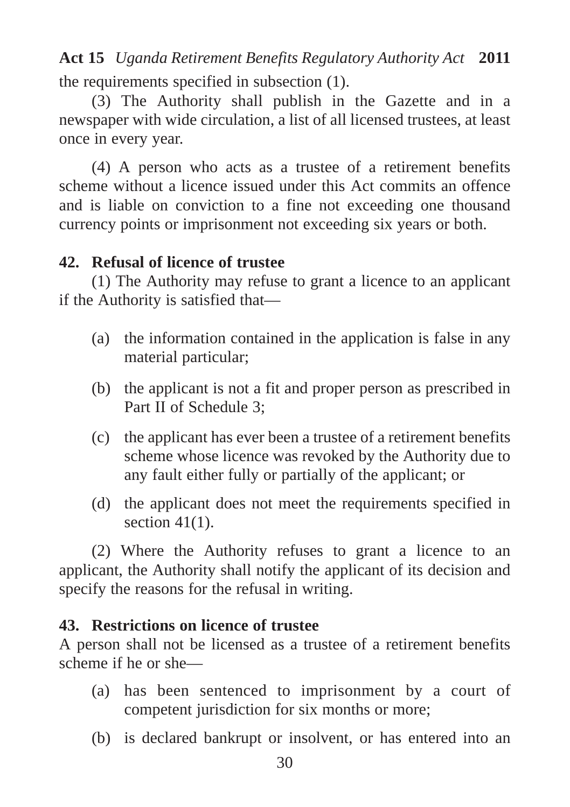the requirements specified in subsection (1). **Act 15** *Uganda Retirement Benefits Regulatory Authority Act* **2011**

(3) The Authority shall publish in the Gazette and in a newspaper with wide circulation, a list of all licensed trustees, at least once in every year.

(4) A person who acts as a trustee of a retirement benefits scheme without a licence issued under this Act commits an offence and is liable on conviction to a fine not exceeding one thousand currency points or imprisonment not exceeding six years or both.

## **42. Refusal of licence of trustee**

(1) The Authority may refuse to grant a licence to an applicant if the Authority is satisfied that—

- (a) the information contained in the application is false in any material particular;
- (b) the applicant is not a fit and proper person as prescribed in Part II of Schedule 3;
- (c) the applicant has ever been a trustee of a retirement benefits scheme whose licence was revoked by the Authority due to any fault either fully or partially of the applicant; or
- (d) the applicant does not meet the requirements specified in section  $41(1)$ .

(2) Where the Authority refuses to grant a licence to an applicant, the Authority shall notify the applicant of its decision and specify the reasons for the refusal in writing.

## **43. Restrictions on licence of trustee**

A person shall not be licensed as a trustee of a retirement benefits scheme if he or she—

- (a) has been sentenced to imprisonment by a court of competent jurisdiction for six months or more;
- (b) is declared bankrupt or insolvent, or has entered into an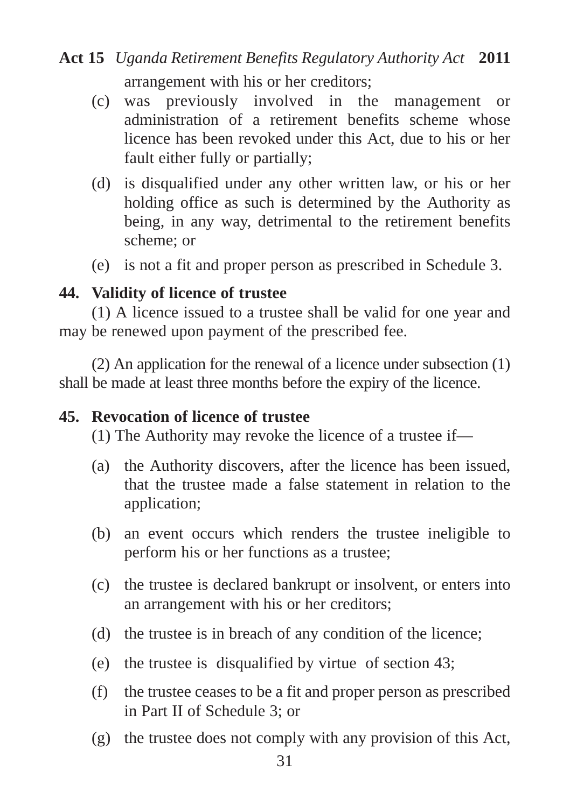# arrangement with his or her creditors; **Act 15** *Uganda Retirement Benefits Regulatory Authority Act* **2011**

- (c) was previously involved in the management or administration of a retirement benefits scheme whose licence has been revoked under this Act, due to his or her fault either fully or partially;
- (d) is disqualified under any other written law, or his or her holding office as such is determined by the Authority as being, in any way, detrimental to the retirement benefits scheme; or
- (e) is not a fit and proper person as prescribed in Schedule 3.

#### **44. Validity of licence of trustee**

(1) A licence issued to a trustee shall be valid for one year and may be renewed upon payment of the prescribed fee.

(2) An application for the renewal of a licence under subsection (1) shall be made at least three months before the expiry of the licence.

#### **45. Revocation of licence of trustee**

(1) The Authority may revoke the licence of a trustee if—

- (a) the Authority discovers, after the licence has been issued, that the trustee made a false statement in relation to the application;
- (b) an event occurs which renders the trustee ineligible to perform his or her functions as a trustee;
- (c) the trustee is declared bankrupt or insolvent, or enters into an arrangement with his or her creditors;
- (d) the trustee is in breach of any condition of the licence;
- (e) the trustee is disqualified by virtue of section 43;
- (f) the trustee ceases to be a fit and proper person as prescribed in Part II of Schedule 3; or
- (g) the trustee does not comply with any provision of this Act,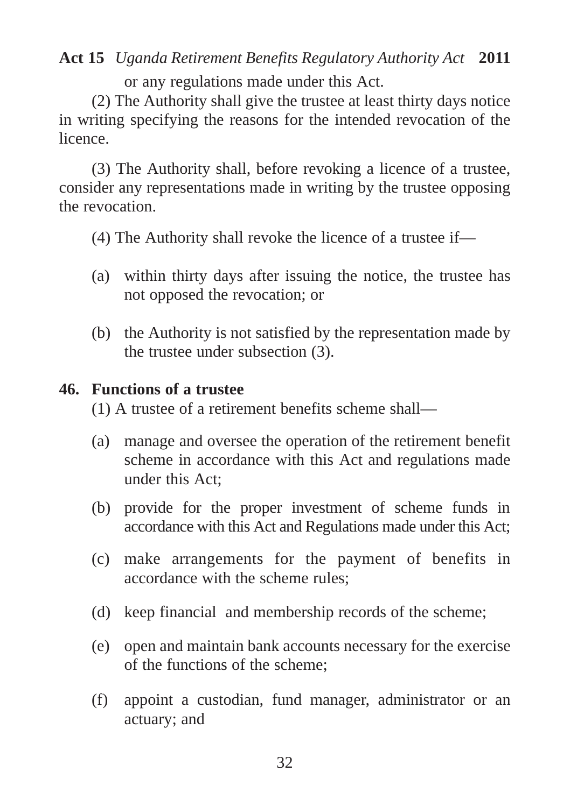or any regulations made under this Act.

(2) The Authority shall give the trustee at least thirty days notice in writing specifying the reasons for the intended revocation of the licence.

(3) The Authority shall, before revoking a licence of a trustee, consider any representations made in writing by the trustee opposing the revocation.

(4) The Authority shall revoke the licence of a trustee if—

- (a) within thirty days after issuing the notice, the trustee has not opposed the revocation; or
- (b) the Authority is not satisfied by the representation made by the trustee under subsection (3).

#### **46. Functions of a trustee**

(1) A trustee of a retirement benefits scheme shall—

- (a) manage and oversee the operation of the retirement benefit scheme in accordance with this Act and regulations made under this Act;
- (b) provide for the proper investment of scheme funds in accordance with this Act and Regulations made under this Act;
- (c) make arrangements for the payment of benefits in accordance with the scheme rules;
- (d) keep financial and membership records of the scheme;
- (e) open and maintain bank accounts necessary for the exercise of the functions of the scheme;
- (f) appoint a custodian, fund manager, administrator or an actuary; and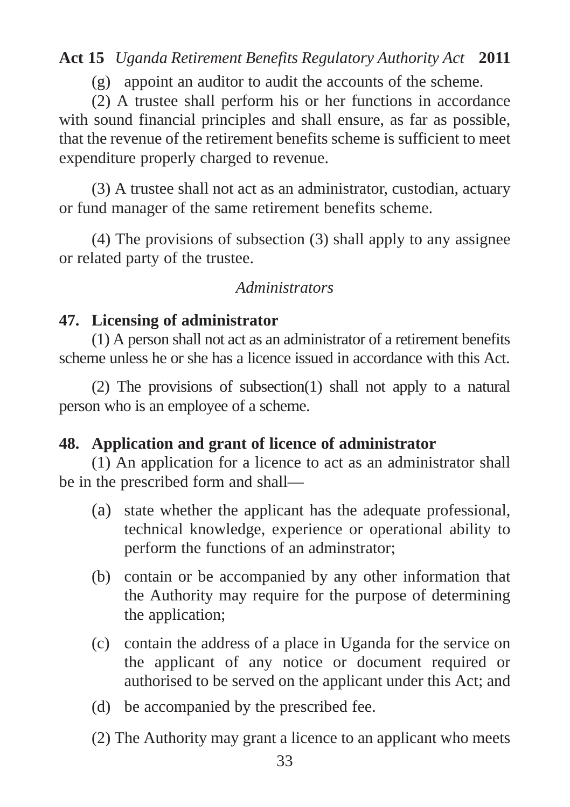(g) appoint an auditor to audit the accounts of the scheme.

(2) A trustee shall perform his or her functions in accordance with sound financial principles and shall ensure, as far as possible, that the revenue of the retirement benefits scheme is sufficient to meet expenditure properly charged to revenue.

(3) A trustee shall not act as an administrator, custodian, actuary or fund manager of the same retirement benefits scheme.

(4) The provisions of subsection (3) shall apply to any assignee or related party of the trustee.

#### *Administrators*

## **47. Licensing of administrator**

(1) A person shall not act as an administrator of a retirement benefits scheme unless he or she has a licence issued in accordance with this Act.

(2) The provisions of subsection(1) shall not apply to a natural person who is an employee of a scheme.

## **48. Application and grant of licence of administrator**

(1) An application for a licence to act as an administrator shall be in the prescribed form and shall—

- (a) state whether the applicant has the adequate professional, technical knowledge, experience or operational ability to perform the functions of an adminstrator;
- (b) contain or be accompanied by any other information that the Authority may require for the purpose of determining the application;
- (c) contain the address of a place in Uganda for the service on the applicant of any notice or document required or authorised to be served on the applicant under this Act; and
- (d) be accompanied by the prescribed fee.
- (2) The Authority may grant a licence to an applicant who meets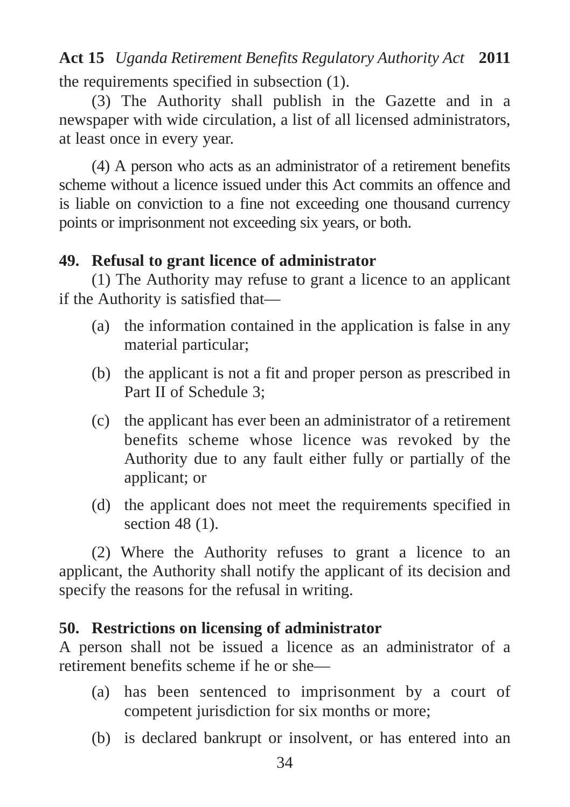the requirements specified in subsection (1). **Act 15** *Uganda Retirement Benefits Regulatory Authority Act* **2011**

(3) The Authority shall publish in the Gazette and in a newspaper with wide circulation, a list of all licensed administrators, at least once in every year.

(4) A person who acts as an administrator of a retirement benefits scheme without a licence issued under this Act commits an offence and is liable on conviction to a fine not exceeding one thousand currency points or imprisonment not exceeding six years, or both.

## **49. Refusal to grant licence of administrator**

(1) The Authority may refuse to grant a licence to an applicant if the Authority is satisfied that—

- (a) the information contained in the application is false in any material particular;
- (b) the applicant is not a fit and proper person as prescribed in Part II of Schedule 3;
- (c) the applicant has ever been an administrator of a retirement benefits scheme whose licence was revoked by the Authority due to any fault either fully or partially of the applicant; or
- (d) the applicant does not meet the requirements specified in section 48 (1).

(2) Where the Authority refuses to grant a licence to an applicant, the Authority shall notify the applicant of its decision and specify the reasons for the refusal in writing.

## **50. Restrictions on licensing of administrator**

A person shall not be issued a licence as an administrator of a retirement benefits scheme if he or she—

- (a) has been sentenced to imprisonment by a court of competent jurisdiction for six months or more;
- (b) is declared bankrupt or insolvent, or has entered into an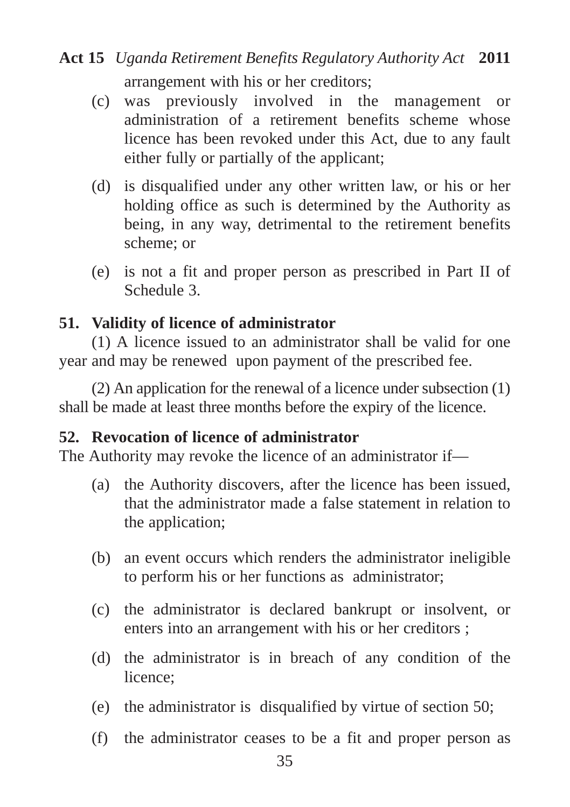# arrangement with his or her creditors; **Act 15** *Uganda Retirement Benefits Regulatory Authority Act* **2011**

- (c) was previously involved in the management or administration of a retirement benefits scheme whose licence has been revoked under this Act, due to any fault either fully or partially of the applicant;
- (d) is disqualified under any other written law, or his or her holding office as such is determined by the Authority as being, in any way, detrimental to the retirement benefits scheme; or
- (e) is not a fit and proper person as prescribed in Part II of Schedule 3.

## **51. Validity of licence of administrator**

(1) A licence issued to an administrator shall be valid for one year and may be renewed upon payment of the prescribed fee.

(2) An application for the renewal of a licence under subsection (1) shall be made at least three months before the expiry of the licence.

## **52. Revocation of licence of administrator**

The Authority may revoke the licence of an administrator if—

- (a) the Authority discovers, after the licence has been issued, that the administrator made a false statement in relation to the application;
- (b) an event occurs which renders the administrator ineligible to perform his or her functions as administrator;
- (c) the administrator is declared bankrupt or insolvent, or enters into an arrangement with his or her creditors ;
- (d) the administrator is in breach of any condition of the licence;
- (e) the administrator is disqualified by virtue of section 50;
- (f) the administrator ceases to be a fit and proper person as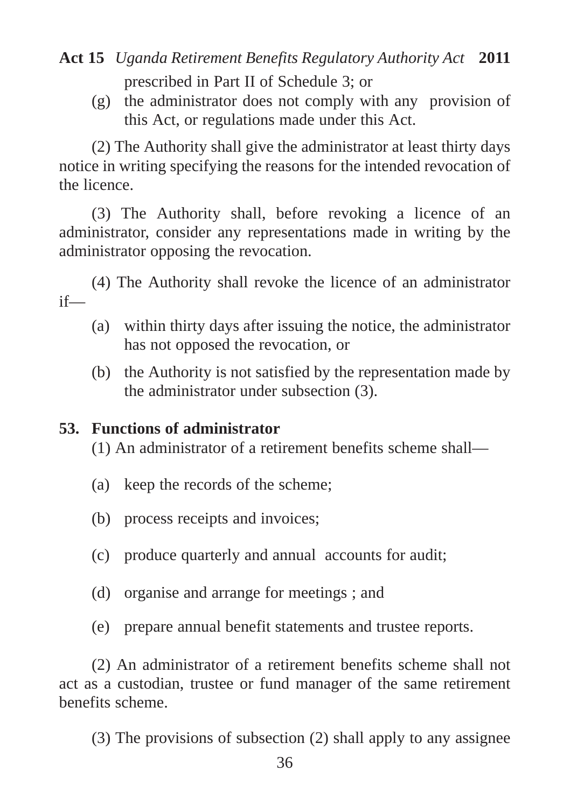prescribed in Part II of Schedule 3; or

(g) the administrator does not comply with any provision of this Act, or regulations made under this Act.

(2) The Authority shall give the administrator at least thirty days notice in writing specifying the reasons for the intended revocation of the licence.

(3) The Authority shall, before revoking a licence of an administrator, consider any representations made in writing by the administrator opposing the revocation.

(4) The Authority shall revoke the licence of an administrator if—

- (a) within thirty days after issuing the notice, the administrator has not opposed the revocation, or
- (b) the Authority is not satisfied by the representation made by the administrator under subsection (3).

## **53. Functions of administrator**

(1) An administrator of a retirement benefits scheme shall—

- (a) keep the records of the scheme;
- (b) process receipts and invoices;
- (c) produce quarterly and annual accounts for audit;
- (d) organise and arrange for meetings ; and
- (e) prepare annual benefit statements and trustee reports.

(2) An administrator of a retirement benefits scheme shall not act as a custodian, trustee or fund manager of the same retirement benefits scheme.

(3) The provisions of subsection (2) shall apply to any assignee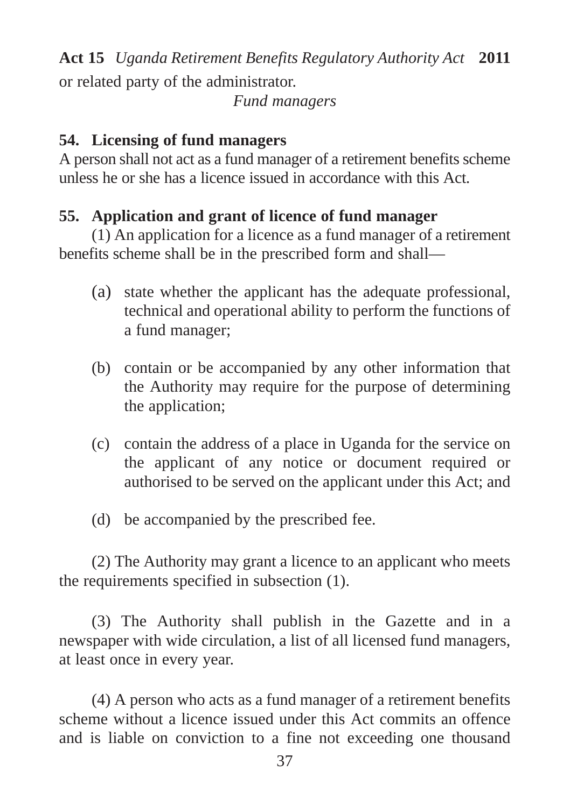or related party of the administrator. **Act 15** *Uganda Retirement Benefits Regulatory Authority Act* **2011**

*Fund managers*

## **54. Licensing of fund managers**

A person shall not act as a fund manager of a retirement benefits scheme unless he or she has a licence issued in accordance with this Act.

## **55. Application and grant of licence of fund manager**

(1) An application for a licence as a fund manager of a retirement benefits scheme shall be in the prescribed form and shall—

- (a) state whether the applicant has the adequate professional, technical and operational ability to perform the functions of a fund manager;
- (b) contain or be accompanied by any other information that the Authority may require for the purpose of determining the application;
- (c) contain the address of a place in Uganda for the service on the applicant of any notice or document required or authorised to be served on the applicant under this Act; and
- (d) be accompanied by the prescribed fee.

(2) The Authority may grant a licence to an applicant who meets the requirements specified in subsection (1).

(3) The Authority shall publish in the Gazette and in a newspaper with wide circulation, a list of all licensed fund managers, at least once in every year.

(4) A person who acts as a fund manager of a retirement benefits scheme without a licence issued under this Act commits an offence and is liable on conviction to a fine not exceeding one thousand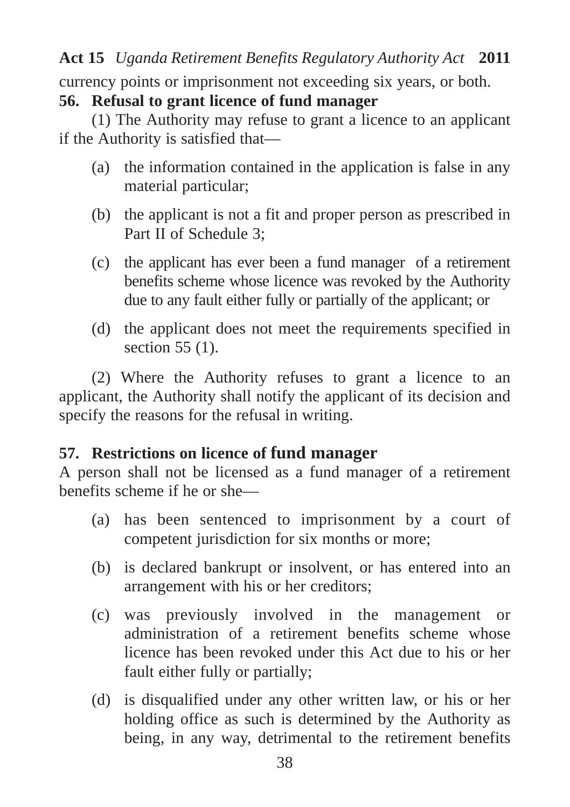currency points or imprisonment not exceeding six years, or both.

#### **56. Refusal to grant licence of fund manager**

(1) The Authority may refuse to grant a licence to an applicant if the Authority is satisfied that—

- (a) the information contained in the application is false in any material particular;
- (b) the applicant is not a fit and proper person as prescribed in Part II of Schedule 3;
- (c) the applicant has ever been a fund manager of a retirement benefits scheme whose licence was revoked by the Authority due to any fault either fully or partially of the applicant; or
- (d) the applicant does not meet the requirements specified in section 55 (1).

(2) Where the Authority refuses to grant a licence to an applicant, the Authority shall notify the applicant of its decision and specify the reasons for the refusal in writing.

## **57. Restrictions on licence of fund manager**

A person shall not be licensed as a fund manager of a retirement benefits scheme if he or she—

- (a) has been sentenced to imprisonment by a court of competent jurisdiction for six months or more;
- (b) is declared bankrupt or insolvent, or has entered into an arrangement with his or her creditors;
- (c) was previously involved in the management or administration of a retirement benefits scheme whose licence has been revoked under this Act due to his or her fault either fully or partially;
- (d) is disqualified under any other written law, or his or her holding office as such is determined by the Authority as being, in any way, detrimental to the retirement benefits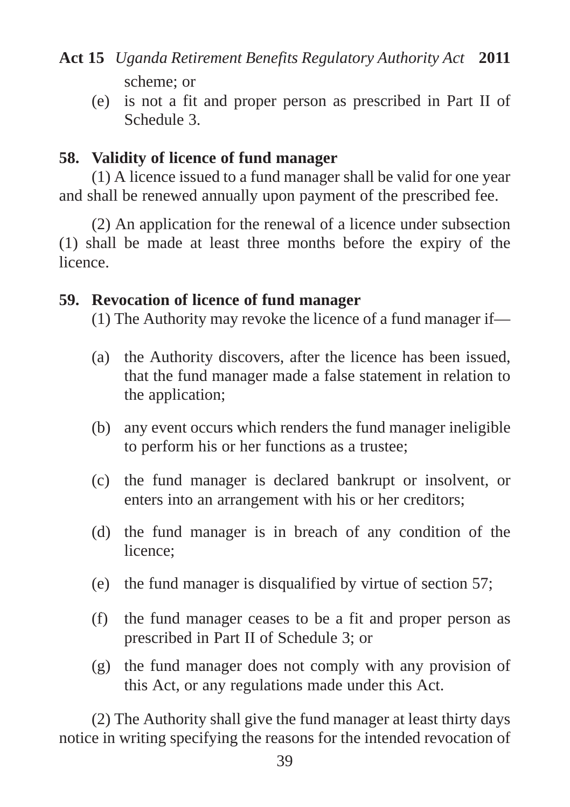(e) is not a fit and proper person as prescribed in Part II of Schedule 3.

## **58. Validity of licence of fund manager**

(1) A licence issued to a fund manager shall be valid for one year and shall be renewed annually upon payment of the prescribed fee.

(2) An application for the renewal of a licence under subsection (1) shall be made at least three months before the expiry of the licence.

## **59. Revocation of licence of fund manager**

(1) The Authority may revoke the licence of a fund manager if—

- (a) the Authority discovers, after the licence has been issued, that the fund manager made a false statement in relation to the application;
- (b) any event occurs which renders the fund manager ineligible to perform his or her functions as a trustee;
- (c) the fund manager is declared bankrupt or insolvent, or enters into an arrangement with his or her creditors;
- (d) the fund manager is in breach of any condition of the licence;
- (e) the fund manager is disqualified by virtue of section 57;
- (f) the fund manager ceases to be a fit and proper person as prescribed in Part II of Schedule 3; or
- (g) the fund manager does not comply with any provision of this Act, or any regulations made under this Act.

(2) The Authority shall give the fund manager at least thirty days notice in writing specifying the reasons for the intended revocation of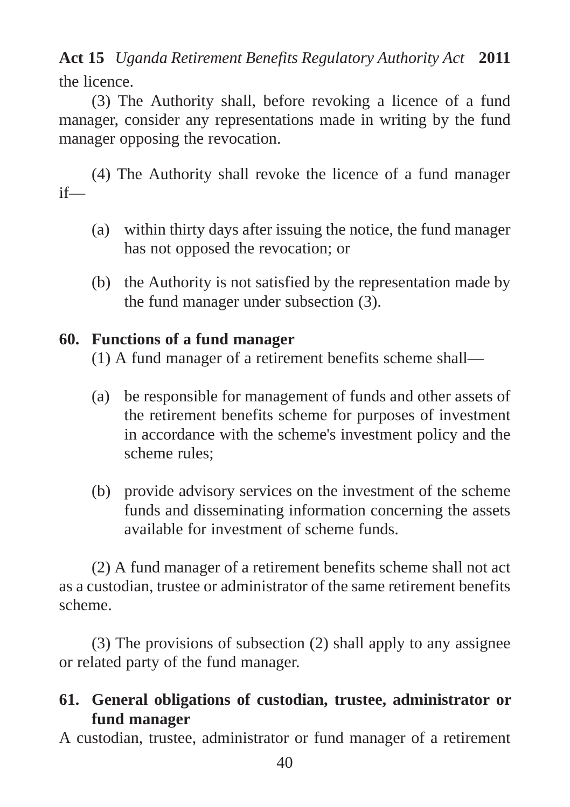the licence. **Act 15** *Uganda Retirement Benefits Regulatory Authority Act* **2011**

(3) The Authority shall, before revoking a licence of a fund manager, consider any representations made in writing by the fund manager opposing the revocation.

(4) The Authority shall revoke the licence of a fund manager if—

- (a) within thirty days after issuing the notice, the fund manager has not opposed the revocation; or
- (b) the Authority is not satisfied by the representation made by the fund manager under subsection (3).

## **60. Functions of a fund manager**

(1) A fund manager of a retirement benefits scheme shall—

- (a) be responsible for management of funds and other assets of the retirement benefits scheme for purposes of investment in accordance with the scheme's investment policy and the scheme rules;
- (b) provide advisory services on the investment of the scheme funds and disseminating information concerning the assets available for investment of scheme funds.

(2) A fund manager of a retirement benefits scheme shall not act as a custodian, trustee or administrator of the same retirement benefits scheme.

(3) The provisions of subsection (2) shall apply to any assignee or related party of the fund manager.

## **61. General obligations of custodian, trustee, administrator or fund manager**

A custodian, trustee, administrator or fund manager of a retirement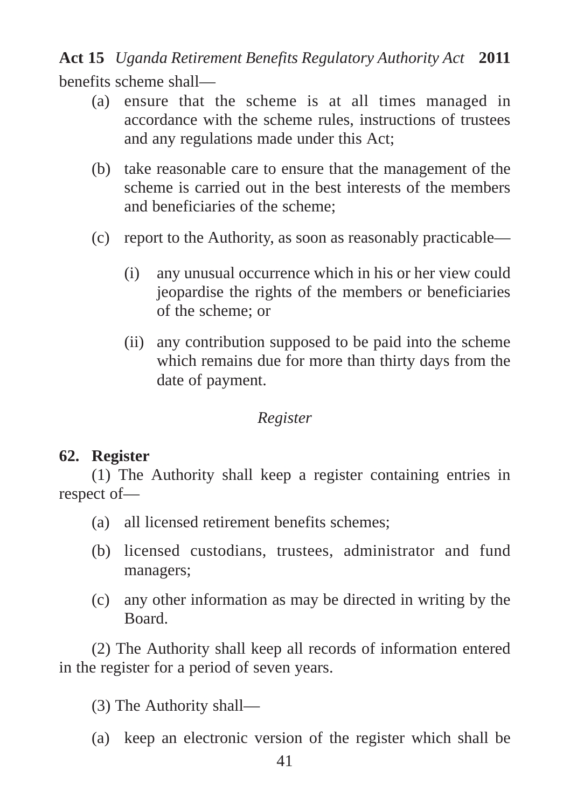benefits scheme shall— **Act 15** *Uganda Retirement Benefits Regulatory Authority Act* **2011**

- (a) ensure that the scheme is at all times managed in accordance with the scheme rules, instructions of trustees and any regulations made under this Act;
- (b) take reasonable care to ensure that the management of the scheme is carried out in the best interests of the members and beneficiaries of the scheme;
- (c) report to the Authority, as soon as reasonably practicable—
	- (i) any unusual occurrence which in his or her view could jeopardise the rights of the members or beneficiaries of the scheme; or
	- (ii) any contribution supposed to be paid into the scheme which remains due for more than thirty days from the date of payment.

#### *Register*

#### **62. Register**

(1) The Authority shall keep a register containing entries in respect of—

- (a) all licensed retirement benefits schemes;
- (b) licensed custodians, trustees, administrator and fund managers;
- (c) any other information as may be directed in writing by the Board.

(2) The Authority shall keep all records of information entered in the register for a period of seven years.

(3) The Authority shall—

(a) keep an electronic version of the register which shall be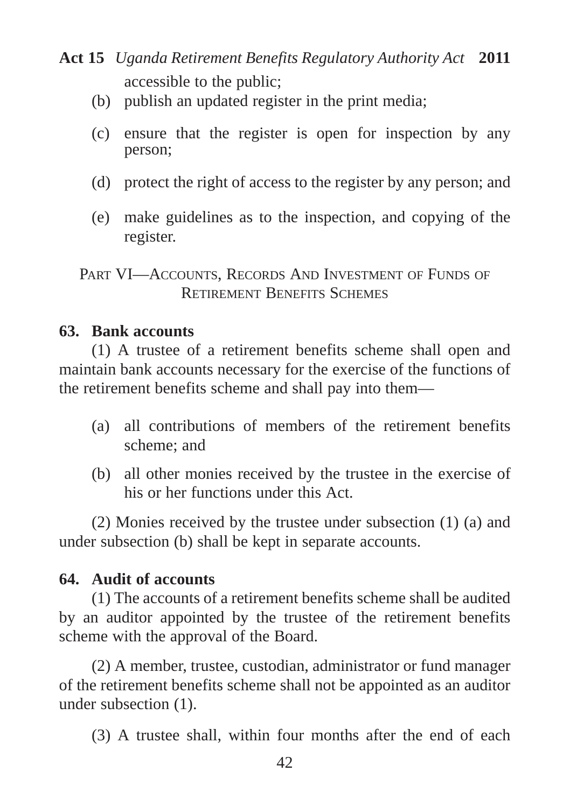- accessible to the public; **Act 15** *Uganda Retirement Benefits Regulatory Authority Act* **2011**
	- (b) publish an updated register in the print media;
	- (c) ensure that the register is open for inspection by any person;
	- (d) protect the right of access to the register by any person; and
	- (e) make guidelines as to the inspection, and copying of the register.

PART VI—ACCOUNTS, RECORDS AND INVESTMENT OF FUNDS OF RETIREMENT BENEFITS SCHEMES

#### **63. Bank accounts**

(1) A trustee of a retirement benefits scheme shall open and maintain bank accounts necessary for the exercise of the functions of the retirement benefits scheme and shall pay into them—

- (a) all contributions of members of the retirement benefits scheme; and
- (b) all other monies received by the trustee in the exercise of his or her functions under this Act.

(2) Monies received by the trustee under subsection (1) (a) and under subsection (b) shall be kept in separate accounts.

## **64. Audit of accounts**

(1) The accounts of a retirement benefits scheme shall be audited by an auditor appointed by the trustee of the retirement benefits scheme with the approval of the Board.

(2) A member, trustee, custodian, administrator or fund manager of the retirement benefits scheme shall not be appointed as an auditor under subsection (1).

(3) A trustee shall, within four months after the end of each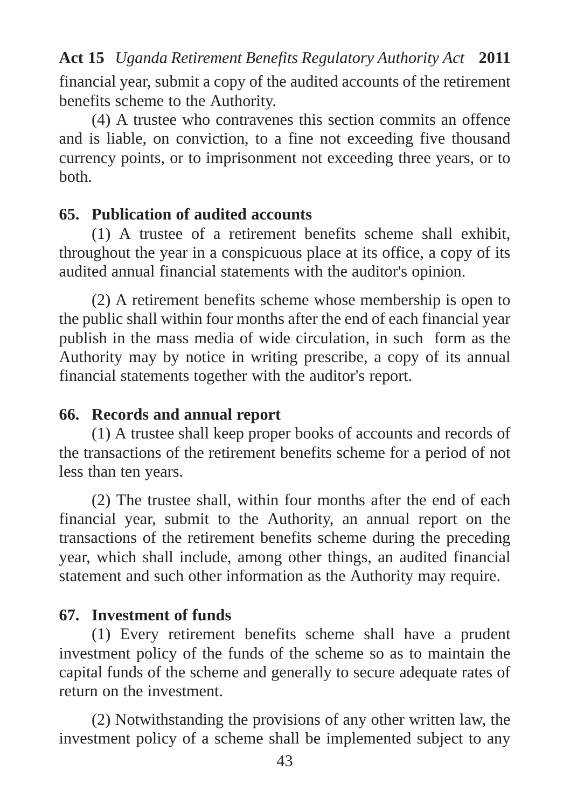financial year, submit a copy of the audited accounts of the retirement benefits scheme to the Authority.

(4) A trustee who contravenes this section commits an offence and is liable, on conviction, to a fine not exceeding five thousand currency points, or to imprisonment not exceeding three years, or to both.

## **65. Publication of audited accounts**

(1) A trustee of a retirement benefits scheme shall exhibit, throughout the year in a conspicuous place at its office, a copy of its audited annual financial statements with the auditor's opinion.

(2) A retirement benefits scheme whose membership is open to the public shall within four months after the end of each financial year publish in the mass media of wide circulation, in such form as the Authority may by notice in writing prescribe, a copy of its annual financial statements together with the auditor's report.

# **66. Records and annual report**

(1) A trustee shall keep proper books of accounts and records of the transactions of the retirement benefits scheme for a period of not less than ten years.

(2) The trustee shall, within four months after the end of each financial year, submit to the Authority, an annual report on the transactions of the retirement benefits scheme during the preceding year, which shall include, among other things, an audited financial statement and such other information as the Authority may require.

# **67. Investment of funds**

(1) Every retirement benefits scheme shall have a prudent investment policy of the funds of the scheme so as to maintain the capital funds of the scheme and generally to secure adequate rates of return on the investment.

(2) Notwithstanding the provisions of any other written law, the investment policy of a scheme shall be implemented subject to any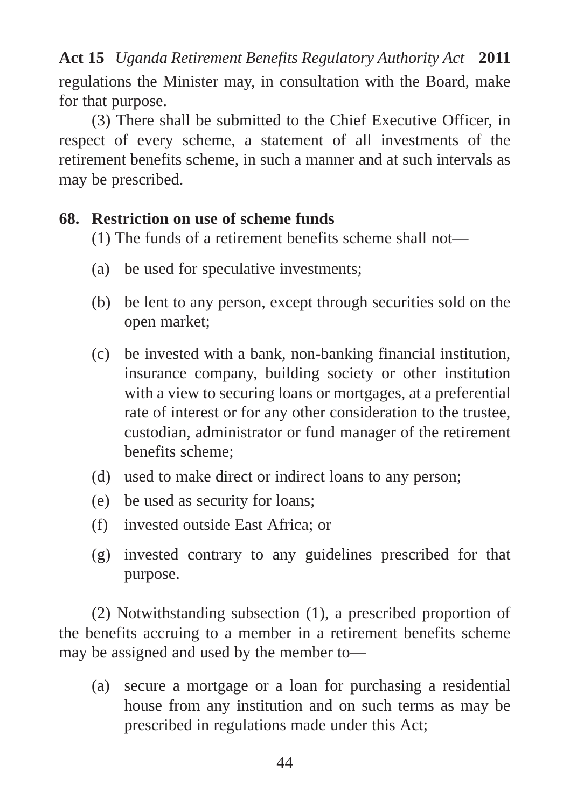regulations the Minister may, in consultation with the Board, make for that purpose. **Act 15** *Uganda Retirement Benefits Regulatory Authority Act* **2011**

(3) There shall be submitted to the Chief Executive Officer, in respect of every scheme, a statement of all investments of the retirement benefits scheme, in such a manner and at such intervals as may be prescribed.

## **68. Restriction on use of scheme funds**

(1) The funds of a retirement benefits scheme shall not—

- (a) be used for speculative investments;
- (b) be lent to any person, except through securities sold on the open market;
- (c) be invested with a bank, non-banking financial institution, insurance company, building society or other institution with a view to securing loans or mortgages, at a preferential rate of interest or for any other consideration to the trustee, custodian, administrator or fund manager of the retirement benefits scheme;
- (d) used to make direct or indirect loans to any person;
- (e) be used as security for loans;
- (f) invested outside East Africa; or
- (g) invested contrary to any guidelines prescribed for that purpose.

(2) Notwithstanding subsection (1), a prescribed proportion of the benefits accruing to a member in a retirement benefits scheme may be assigned and used by the member to—

(a) secure a mortgage or a loan for purchasing a residential house from any institution and on such terms as may be prescribed in regulations made under this Act;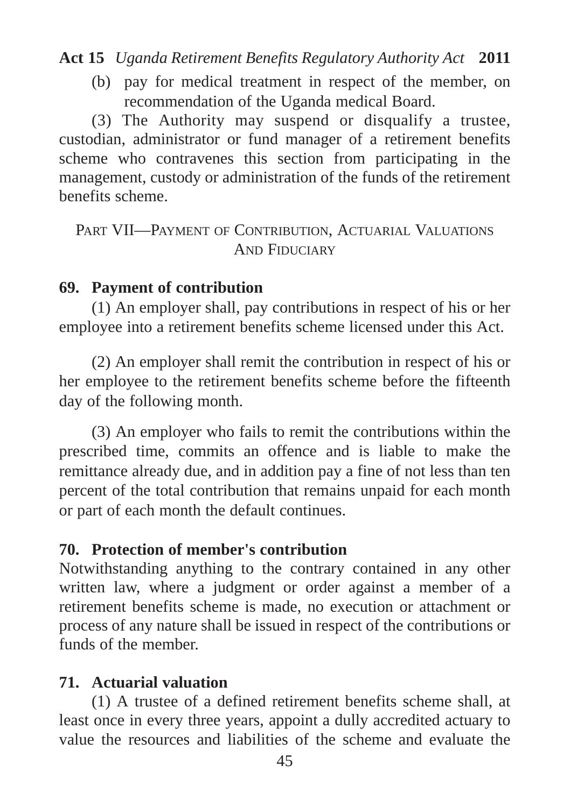(b) pay for medical treatment in respect of the member, on recommendation of the Uganda medical Board.

(3) The Authority may suspend or disqualify a trustee, custodian, administrator or fund manager of a retirement benefits scheme who contravenes this section from participating in the management, custody or administration of the funds of the retirement benefits scheme.

```
PART VII—PAYMENT OF CONTRIBUTION, ACTUARIAL VALUATIONS
        AND FIDUCIARY
```
## **69. Payment of contribution**

(1) An employer shall, pay contributions in respect of his or her employee into a retirement benefits scheme licensed under this Act.

(2) An employer shall remit the contribution in respect of his or her employee to the retirement benefits scheme before the fifteenth day of the following month.

(3) An employer who fails to remit the contributions within the prescribed time, commits an offence and is liable to make the remittance already due, and in addition pay a fine of not less than ten percent of the total contribution that remains unpaid for each month or part of each month the default continues.

## **70. Protection of member's contribution**

Notwithstanding anything to the contrary contained in any other written law, where a judgment or order against a member of a retirement benefits scheme is made, no execution or attachment or process of any nature shall be issued in respect of the contributions or funds of the member.

## **71. Actuarial valuation**

(1) A trustee of a defined retirement benefits scheme shall, at least once in every three years, appoint a dully accredited actuary to value the resources and liabilities of the scheme and evaluate the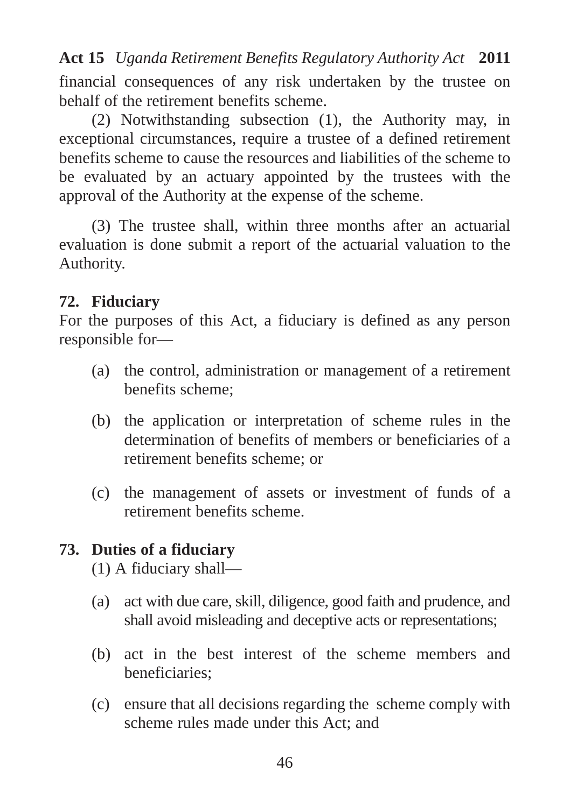financial consequences of any risk undertaken by the trustee on behalf of the retirement benefits scheme.

(2) Notwithstanding subsection (1), the Authority may, in exceptional circumstances, require a trustee of a defined retirement benefits scheme to cause the resources and liabilities of the scheme to be evaluated by an actuary appointed by the trustees with the approval of the Authority at the expense of the scheme.

(3) The trustee shall, within three months after an actuarial evaluation is done submit a report of the actuarial valuation to the Authority.

## **72. Fiduciary**

For the purposes of this Act, a fiduciary is defined as any person responsible for—

- (a) the control, administration or management of a retirement benefits scheme;
- (b) the application or interpretation of scheme rules in the determination of benefits of members or beneficiaries of a retirement benefits scheme; or
- (c) the management of assets or investment of funds of a retirement benefits scheme.

## **73. Duties of a fiduciary**

(1) A fiduciary shall—

- (a) act with due care, skill, diligence, good faith and prudence, and shall avoid misleading and deceptive acts or representations;
- (b) act in the best interest of the scheme members and beneficiaries;
- (c) ensure that all decisions regarding the scheme comply with scheme rules made under this Act; and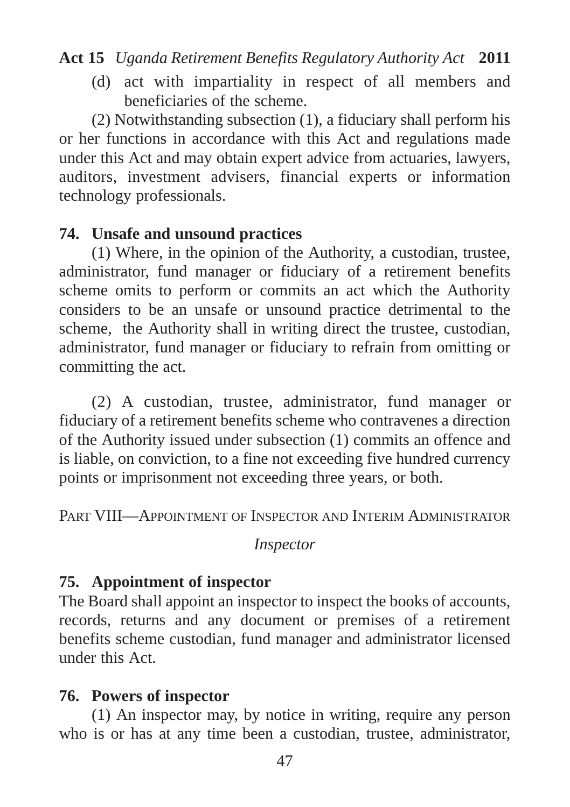(d) act with impartiality in respect of all members and beneficiaries of the scheme.

(2) Notwithstanding subsection (1), a fiduciary shall perform his or her functions in accordance with this Act and regulations made under this Act and may obtain expert advice from actuaries, lawyers, auditors, investment advisers, financial experts or information technology professionals.

## **74. Unsafe and unsound practices**

(1) Where, in the opinion of the Authority, a custodian, trustee, administrator, fund manager or fiduciary of a retirement benefits scheme omits to perform or commits an act which the Authority considers to be an unsafe or unsound practice detrimental to the scheme, the Authority shall in writing direct the trustee, custodian, administrator, fund manager or fiduciary to refrain from omitting or committing the act.

(2) A custodian, trustee, administrator, fund manager or fiduciary of a retirement benefits scheme who contravenes a direction of the Authority issued under subsection (1) commits an offence and is liable, on conviction, to a fine not exceeding five hundred currency points or imprisonment not exceeding three years, or both.

PART VIII—APPOINTMENT OF INSPECTOR AND INTERIM ADMINISTRATOR

#### *Inspector*

## **75. Appointment of inspector**

The Board shall appoint an inspector to inspect the books of accounts, records, returns and any document or premises of a retirement benefits scheme custodian, fund manager and administrator licensed under this Act.

## **76. Powers of inspector**

(1) An inspector may, by notice in writing, require any person who is or has at any time been a custodian, trustee, administrator,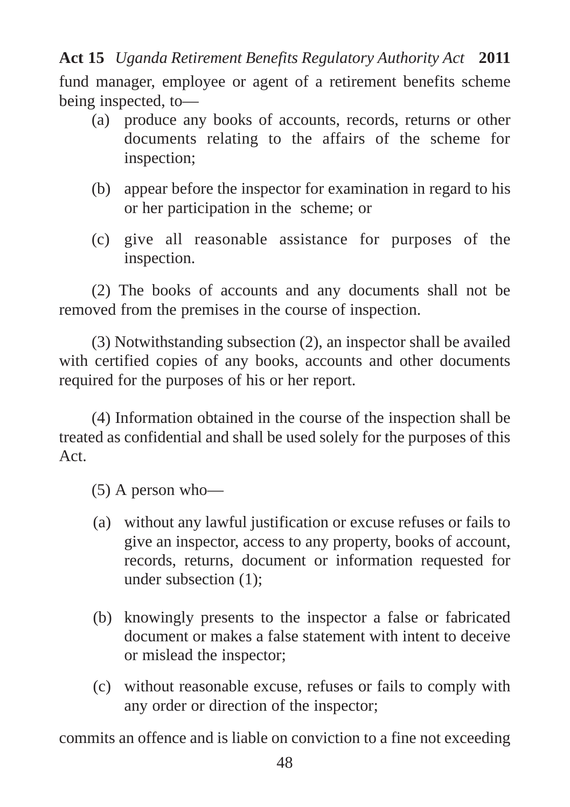fund manager, employee or agent of a retirement benefits scheme being inspected, to—

- (a) produce any books of accounts, records, returns or other documents relating to the affairs of the scheme for inspection;
- (b) appear before the inspector for examination in regard to his or her participation in the scheme; or
- (c) give all reasonable assistance for purposes of the inspection.

(2) The books of accounts and any documents shall not be removed from the premises in the course of inspection.

(3) Notwithstanding subsection (2), an inspector shall be availed with certified copies of any books, accounts and other documents required for the purposes of his or her report.

(4) Information obtained in the course of the inspection shall be treated as confidential and shall be used solely for the purposes of this Act.

(5) A person who—

- (a) without any lawful justification or excuse refuses or fails to give an inspector, access to any property, books of account, records, returns, document or information requested for under subsection (1);
- (b) knowingly presents to the inspector a false or fabricated document or makes a false statement with intent to deceive or mislead the inspector;
- (c) without reasonable excuse, refuses or fails to comply with any order or direction of the inspector;

commits an offence and is liable on conviction to a fine not exceeding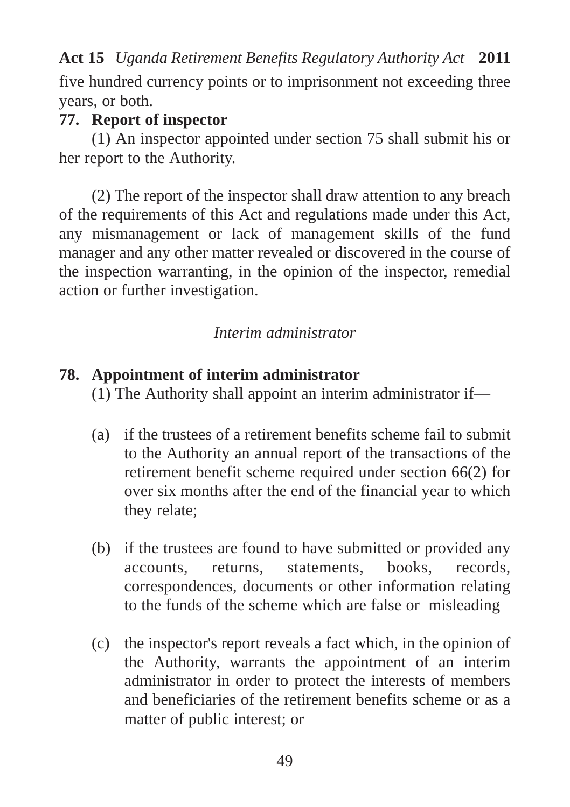five hundred currency points or to imprisonment not exceeding three years, or both.

#### **77. Report of inspector**

(1) An inspector appointed under section 75 shall submit his or her report to the Authority.

(2) The report of the inspector shall draw attention to any breach of the requirements of this Act and regulations made under this Act, any mismanagement or lack of management skills of the fund manager and any other matter revealed or discovered in the course of the inspection warranting, in the opinion of the inspector, remedial action or further investigation.

#### *Interim administrator*

#### **78. Appointment of interim administrator**

(1) The Authority shall appoint an interim administrator if—

- (a) if the trustees of a retirement benefits scheme fail to submit to the Authority an annual report of the transactions of the retirement benefit scheme required under section 66(2) for over six months after the end of the financial year to which they relate;
- (b) if the trustees are found to have submitted or provided any accounts, returns, statements, books, records, correspondences, documents or other information relating to the funds of the scheme which are false or misleading
- (c) the inspector's report reveals a fact which, in the opinion of the Authority, warrants the appointment of an interim administrator in order to protect the interests of members and beneficiaries of the retirement benefits scheme or as a matter of public interest; or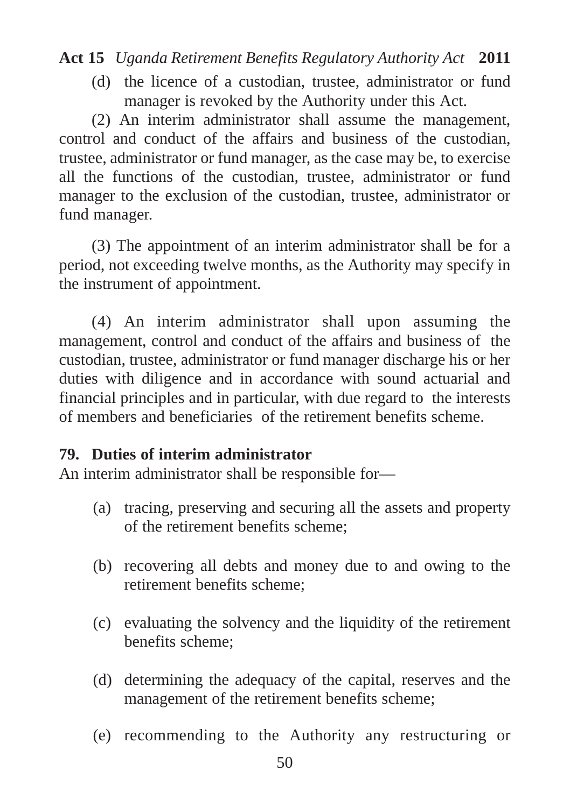(d) the licence of a custodian, trustee, administrator or fund manager is revoked by the Authority under this Act.

(2) An interim administrator shall assume the management, control and conduct of the affairs and business of the custodian, trustee, administrator or fund manager, as the case may be, to exercise all the functions of the custodian, trustee, administrator or fund manager to the exclusion of the custodian, trustee, administrator or fund manager.

(3) The appointment of an interim administrator shall be for a period, not exceeding twelve months, as the Authority may specify in the instrument of appointment.

(4) An interim administrator shall upon assuming the management, control and conduct of the affairs and business of the custodian, trustee, administrator or fund manager discharge his or her duties with diligence and in accordance with sound actuarial and financial principles and in particular, with due regard to the interests of members and beneficiaries of the retirement benefits scheme.

## **79. Duties of interim administrator**

An interim administrator shall be responsible for—

- (a) tracing, preserving and securing all the assets and property of the retirement benefits scheme;
- (b) recovering all debts and money due to and owing to the retirement benefits scheme;
- (c) evaluating the solvency and the liquidity of the retirement benefits scheme;
- (d) determining the adequacy of the capital, reserves and the management of the retirement benefits scheme;
- (e) recommending to the Authority any restructuring or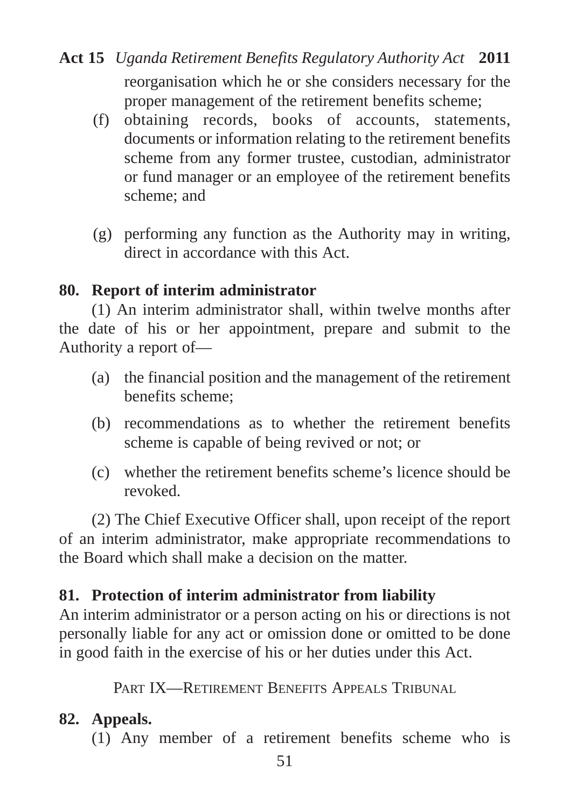- reorganisation which he or she considers necessary for the proper management of the retirement benefits scheme; **Act 15** *Uganda Retirement Benefits Regulatory Authority Act* **2011**
	- (f) obtaining records, books of accounts, statements, documents or information relating to the retirement benefits scheme from any former trustee, custodian, administrator or fund manager or an employee of the retirement benefits scheme; and
	- (g) performing any function as the Authority may in writing, direct in accordance with this Act.

## **80. Report of interim administrator**

(1) An interim administrator shall, within twelve months after the date of his or her appointment, prepare and submit to the Authority a report of—

- (a) the financial position and the management of the retirement benefits scheme;
- (b) recommendations as to whether the retirement benefits scheme is capable of being revived or not; or
- (c) whether the retirement benefits scheme's licence should be revoked.

(2) The Chief Executive Officer shall, upon receipt of the report of an interim administrator, make appropriate recommendations to the Board which shall make a decision on the matter.

# **81. Protection of interim administrator from liability**

An interim administrator or a person acting on his or directions is not personally liable for any act or omission done or omitted to be done in good faith in the exercise of his or her duties under this Act.

PART IX—RETIREMENT BENEFITS APPEALS TRIBUNAL

# **82. Appeals.**

(1) Any member of a retirement benefits scheme who is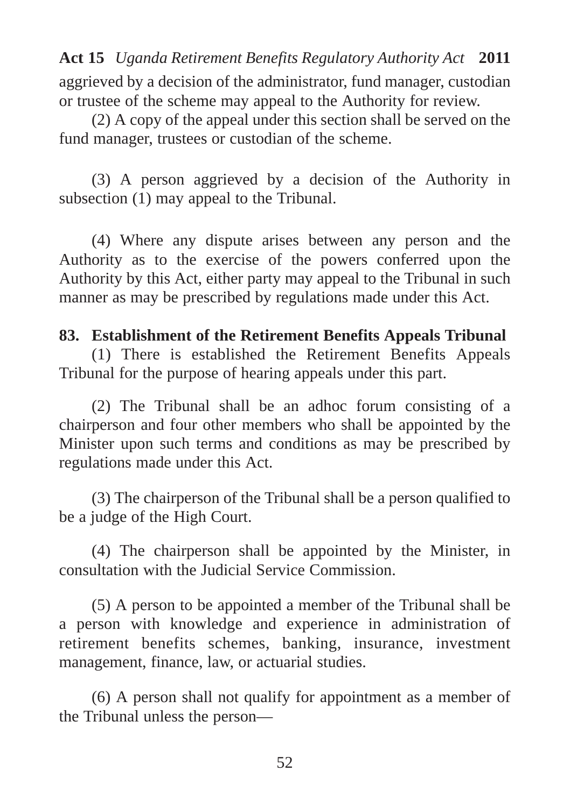aggrieved by a decision of the administrator, fund manager, custodian or trustee of the scheme may appeal to the Authority for review.

(2) A copy of the appeal under this section shall be served on the fund manager, trustees or custodian of the scheme.

(3) A person aggrieved by a decision of the Authority in subsection (1) may appeal to the Tribunal.

(4) Where any dispute arises between any person and the Authority as to the exercise of the powers conferred upon the Authority by this Act, either party may appeal to the Tribunal in such manner as may be prescribed by regulations made under this Act.

#### **83. Establishment of the Retirement Benefits Appeals Tribunal**

(1) There is established the Retirement Benefits Appeals Tribunal for the purpose of hearing appeals under this part.

(2) The Tribunal shall be an adhoc forum consisting of a chairperson and four other members who shall be appointed by the Minister upon such terms and conditions as may be prescribed by regulations made under this Act.

(3) The chairperson of the Tribunal shall be a person qualified to be a judge of the High Court.

(4) The chairperson shall be appointed by the Minister, in consultation with the Judicial Service Commission.

(5) A person to be appointed a member of the Tribunal shall be a person with knowledge and experience in administration of retirement benefits schemes, banking, insurance, investment management, finance, law, or actuarial studies.

(6) A person shall not qualify for appointment as a member of the Tribunal unless the person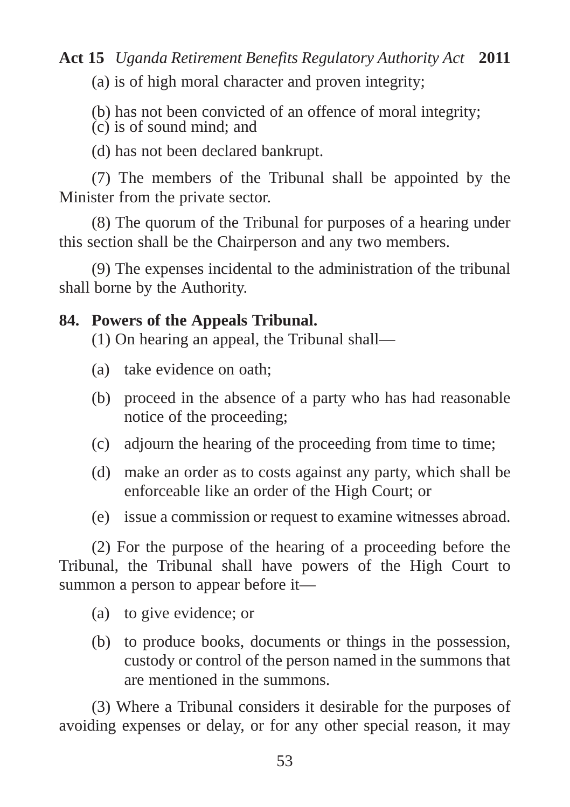(a) is of high moral character and proven integrity;

(b) has not been convicted of an offence of moral integrity;

(c) is of sound mind; and

(d) has not been declared bankrupt.

(7) The members of the Tribunal shall be appointed by the Minister from the private sector.

(8) The quorum of the Tribunal for purposes of a hearing under this section shall be the Chairperson and any two members.

(9) The expenses incidental to the administration of the tribunal shall borne by the Authority.

## **84. Powers of the Appeals Tribunal.**

(1) On hearing an appeal, the Tribunal shall—

- (a) take evidence on oath;
- (b) proceed in the absence of a party who has had reasonable notice of the proceeding;
- (c) adjourn the hearing of the proceeding from time to time;
- (d) make an order as to costs against any party, which shall be enforceable like an order of the High Court; or
- (e) issue a commission or request to examine witnesses abroad.

(2) For the purpose of the hearing of a proceeding before the Tribunal, the Tribunal shall have powers of the High Court to summon a person to appear before it—

- (a) to give evidence; or
- (b) to produce books, documents or things in the possession, custody or control of the person named in the summons that are mentioned in the summons.

(3) Where a Tribunal considers it desirable for the purposes of avoiding expenses or delay, or for any other special reason, it may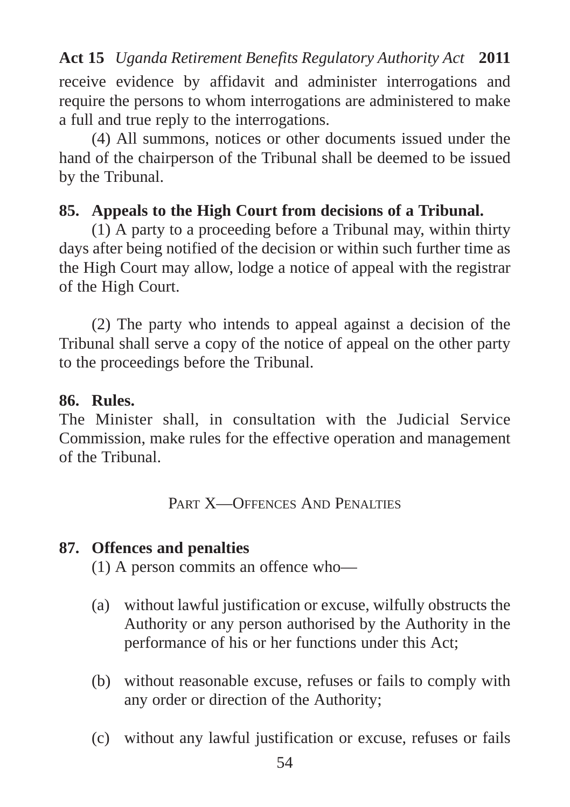receive evidence by affidavit and administer interrogations and require the persons to whom interrogations are administered to make a full and true reply to the interrogations.

(4) All summons, notices or other documents issued under the hand of the chairperson of the Tribunal shall be deemed to be issued by the Tribunal.

## **85. Appeals to the High Court from decisions of a Tribunal.**

(1) A party to a proceeding before a Tribunal may, within thirty days after being notified of the decision or within such further time as the High Court may allow, lodge a notice of appeal with the registrar of the High Court.

(2) The party who intends to appeal against a decision of the Tribunal shall serve a copy of the notice of appeal on the other party to the proceedings before the Tribunal.

#### **86. Rules.**

The Minister shall, in consultation with the Judicial Service Commission, make rules for the effective operation and management of the Tribunal.

PART X-OFFENCES AND PENALTIES

#### **87. Offences and penalties**

(1) A person commits an offence who—

- (a) without lawful justification or excuse, wilfully obstructs the Authority or any person authorised by the Authority in the performance of his or her functions under this Act;
- (b) without reasonable excuse, refuses or fails to comply with any order or direction of the Authority;
- (c) without any lawful justification or excuse, refuses or fails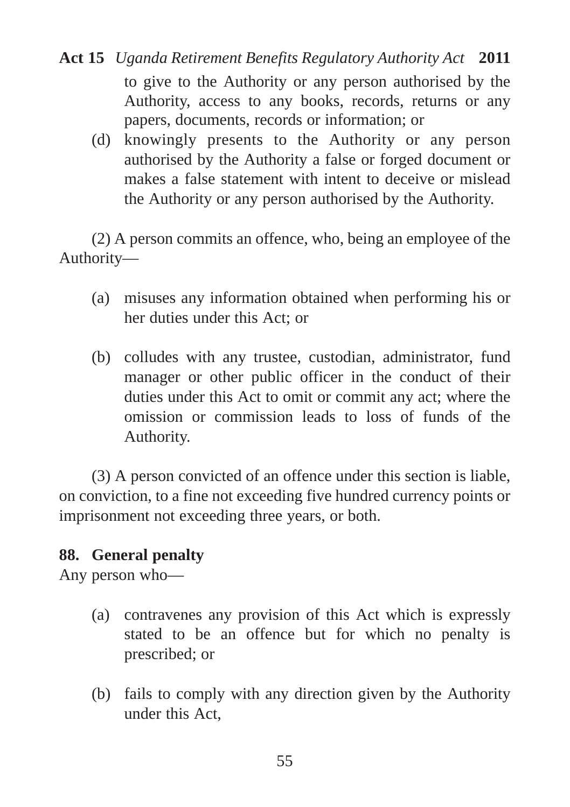- to give to the Authority or any person authorised by the Authority, access to any books, records, returns or any papers, documents, records or information; or **Act 15** *Uganda Retirement Benefits Regulatory Authority Act* **2011**
	- (d) knowingly presents to the Authority or any person authorised by the Authority a false or forged document or makes a false statement with intent to deceive or mislead the Authority or any person authorised by the Authority.

(2) A person commits an offence, who, being an employee of the Authority—

- (a) misuses any information obtained when performing his or her duties under this Act; or
- (b) colludes with any trustee, custodian, administrator, fund manager or other public officer in the conduct of their duties under this Act to omit or commit any act; where the omission or commission leads to loss of funds of the Authority.

(3) A person convicted of an offence under this section is liable, on conviction, to a fine not exceeding five hundred currency points or imprisonment not exceeding three years, or both.

## **88. General penalty**

Any person who—

- (a) contravenes any provision of this Act which is expressly stated to be an offence but for which no penalty is prescribed; or
- (b) fails to comply with any direction given by the Authority under this Act,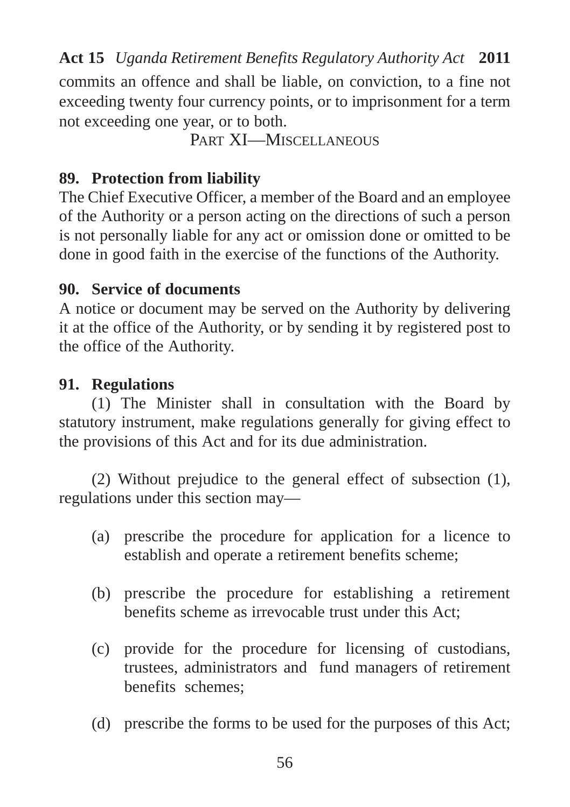commits an offence and shall be liable, on conviction, to a fine not exceeding twenty four currency points, or to imprisonment for a term not exceeding one year, or to both.

PART XI-MISCELLANEOUS

## **89. Protection from liability**

The Chief Executive Officer, a member of the Board and an employee of the Authority or a person acting on the directions of such a person is not personally liable for any act or omission done or omitted to be done in good faith in the exercise of the functions of the Authority.

## **90. Service of documents**

A notice or document may be served on the Authority by delivering it at the office of the Authority, or by sending it by registered post to the office of the Authority.

## **91. Regulations**

(1) The Minister shall in consultation with the Board by statutory instrument, make regulations generally for giving effect to the provisions of this Act and for its due administration.

(2) Without prejudice to the general effect of subsection (1), regulations under this section may—

- (a) prescribe the procedure for application for a licence to establish and operate a retirement benefits scheme;
- (b) prescribe the procedure for establishing a retirement benefits scheme as irrevocable trust under this Act;
- (c) provide for the procedure for licensing of custodians, trustees, administrators and fund managers of retirement benefits schemes;
- (d) prescribe the forms to be used for the purposes of this Act;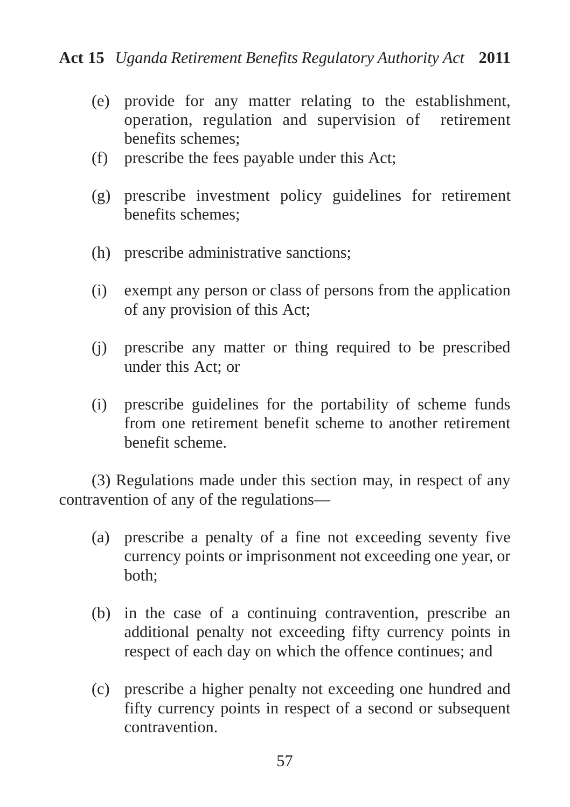- (e) provide for any matter relating to the establishment, operation, regulation and supervision of retirement benefits schemes;
- (f) prescribe the fees payable under this Act;
- (g) prescribe investment policy guidelines for retirement benefits schemes;
- (h) prescribe administrative sanctions;
- (i) exempt any person or class of persons from the application of any provision of this Act;
- (j) prescribe any matter or thing required to be prescribed under this Act; or
- (i) prescribe guidelines for the portability of scheme funds from one retirement benefit scheme to another retirement benefit scheme.

(3) Regulations made under this section may, in respect of any contravention of any of the regulations—

- (a) prescribe a penalty of a fine not exceeding seventy five currency points or imprisonment not exceeding one year, or both;
- (b) in the case of a continuing contravention, prescribe an additional penalty not exceeding fifty currency points in respect of each day on which the offence continues; and
- (c) prescribe a higher penalty not exceeding one hundred and fifty currency points in respect of a second or subsequent contravention.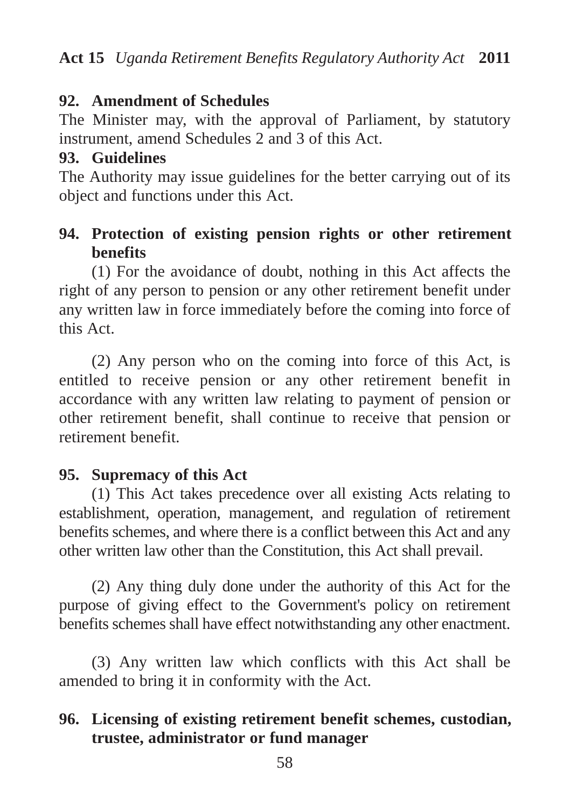## **92. Amendment of Schedules**

The Minister may, with the approval of Parliament, by statutory instrument, amend Schedules 2 and 3 of this Act.

#### **93. Guidelines**

The Authority may issue guidelines for the better carrying out of its object and functions under this Act.

## **94. Protection of existing pension rights or other retirement benefits**

(1) For the avoidance of doubt, nothing in this Act affects the right of any person to pension or any other retirement benefit under any written law in force immediately before the coming into force of this Act.

(2) Any person who on the coming into force of this Act, is entitled to receive pension or any other retirement benefit in accordance with any written law relating to payment of pension or other retirement benefit, shall continue to receive that pension or retirement benefit.

## **95. Supremacy of this Act**

(1) This Act takes precedence over all existing Acts relating to establishment, operation, management, and regulation of retirement benefits schemes, and where there is a conflict between this Act and any other written law other than the Constitution, this Act shall prevail.

(2) Any thing duly done under the authority of this Act for the purpose of giving effect to the Government's policy on retirement benefits schemes shall have effect notwithstanding any other enactment.

(3) Any written law which conflicts with this Act shall be amended to bring it in conformity with the Act.

## **96. Licensing of existing retirement benefit schemes, custodian, trustee, administrator or fund manager**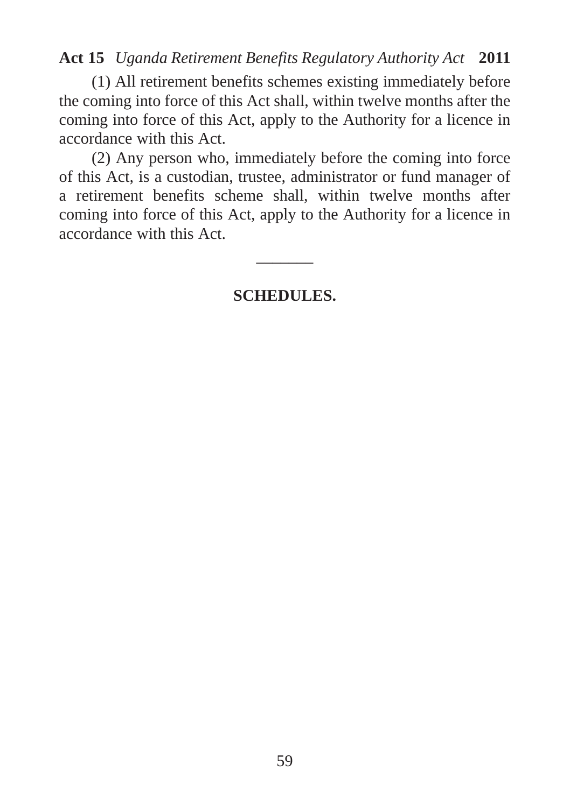(1) All retirement benefits schemes existing immediately before the coming into force of this Act shall, within twelve months after the coming into force of this Act, apply to the Authority for a licence in accordance with this Act.

(2) Any person who, immediately before the coming into force of this Act, is a custodian, trustee, administrator or fund manager of a retirement benefits scheme shall, within twelve months after coming into force of this Act, apply to the Authority for a licence in accordance with this Act.

**SCHEDULES.**

 $\overline{\phantom{a}}$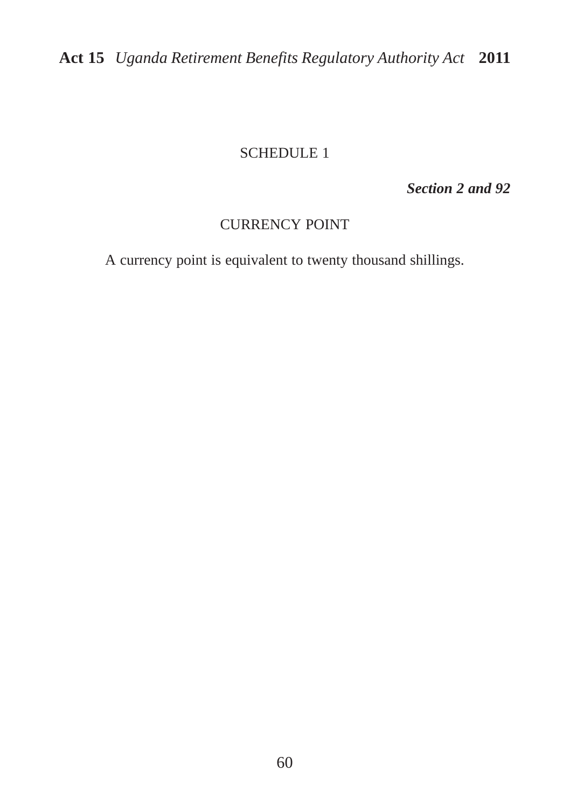#### SCHEDULE 1

*Section 2 and 92*

#### CURRENCY POINT

A currency point is equivalent to twenty thousand shillings.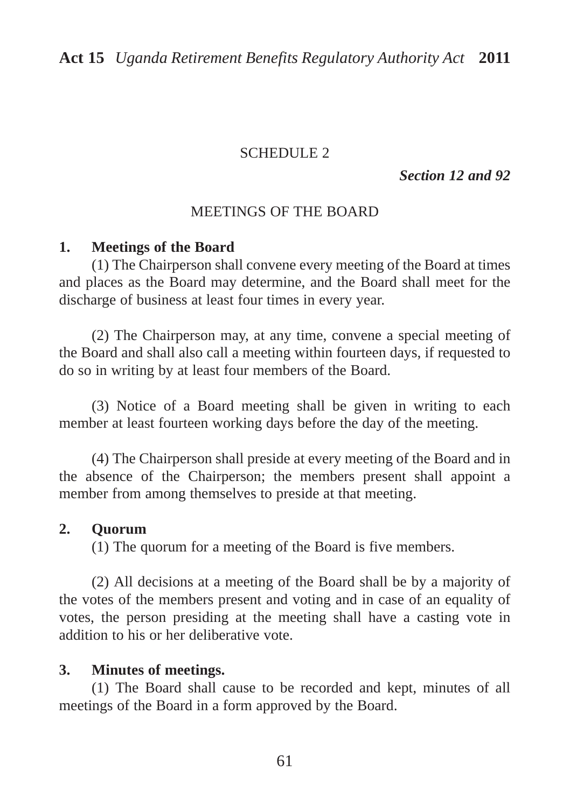#### SCHEDULE 2

*Section 12 and 92*

#### MEETINGS OF THE BOARD

#### **1. Meetings of the Board**

(1) The Chairperson shall convene every meeting of the Board at times and places as the Board may determine, and the Board shall meet for the discharge of business at least four times in every year.

(2) The Chairperson may, at any time, convene a special meeting of the Board and shall also call a meeting within fourteen days, if requested to do so in writing by at least four members of the Board.

(3) Notice of a Board meeting shall be given in writing to each member at least fourteen working days before the day of the meeting.

(4) The Chairperson shall preside at every meeting of the Board and in the absence of the Chairperson; the members present shall appoint a member from among themselves to preside at that meeting.

#### **2. Quorum**

(1) The quorum for a meeting of the Board is five members.

(2) All decisions at a meeting of the Board shall be by a majority of the votes of the members present and voting and in case of an equality of votes, the person presiding at the meeting shall have a casting vote in addition to his or her deliberative vote.

#### **3. Minutes of meetings.**

(1) The Board shall cause to be recorded and kept, minutes of all meetings of the Board in a form approved by the Board.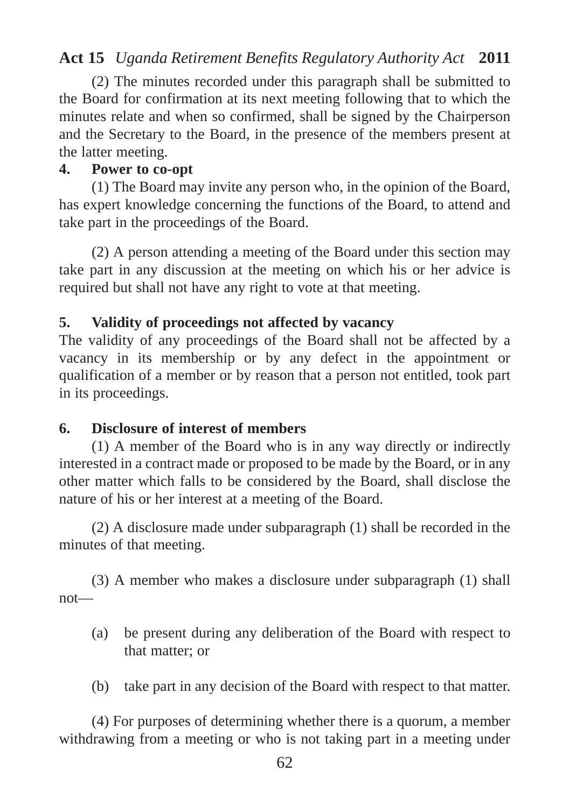(2) The minutes recorded under this paragraph shall be submitted to the Board for confirmation at its next meeting following that to which the minutes relate and when so confirmed, shall be signed by the Chairperson and the Secretary to the Board, in the presence of the members present at the latter meeting.

#### **4. Power to co-opt**

(1) The Board may invite any person who, in the opinion of the Board, has expert knowledge concerning the functions of the Board, to attend and take part in the proceedings of the Board.

(2) A person attending a meeting of the Board under this section may take part in any discussion at the meeting on which his or her advice is required but shall not have any right to vote at that meeting.

#### **5. Validity of proceedings not affected by vacancy**

The validity of any proceedings of the Board shall not be affected by a vacancy in its membership or by any defect in the appointment or qualification of a member or by reason that a person not entitled, took part in its proceedings.

#### **6. Disclosure of interest of members**

(1) A member of the Board who is in any way directly or indirectly interested in a contract made or proposed to be made by the Board, or in any other matter which falls to be considered by the Board, shall disclose the nature of his or her interest at a meeting of the Board.

(2) A disclosure made under subparagraph (1) shall be recorded in the minutes of that meeting.

(3) A member who makes a disclosure under subparagraph (1) shall not—

- (a) be present during any deliberation of the Board with respect to that matter; or
- (b) take part in any decision of the Board with respect to that matter.

(4) For purposes of determining whether there is a quorum, a member withdrawing from a meeting or who is not taking part in a meeting under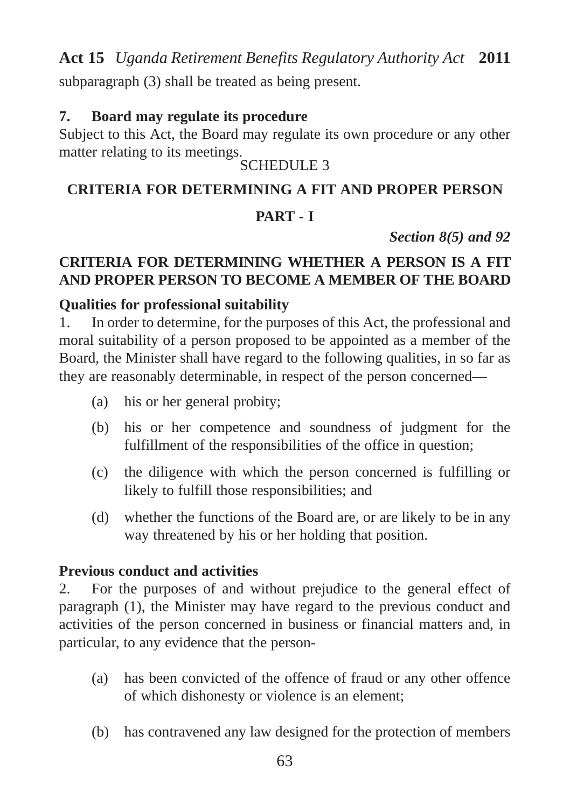subparagraph (3) shall be treated as being present.

#### **7. Board may regulate its procedure**

Subject to this Act, the Board may regulate its own procedure or any other matter relating to its meetings.

SCHEDULE 3

## **CRITERIA FOR DETERMINING A FIT AND PROPER PERSON**

## **PART - I**

*Section 8(5) and 92*

## **CRITERIA FOR DETERMINING WHETHER A PERSON IS A FIT AND PROPER PERSON TO BECOME A MEMBER OF THE BOARD**

#### **Qualities for professional suitability**

1. In order to determine, for the purposes of this Act, the professional and moral suitability of a person proposed to be appointed as a member of the Board, the Minister shall have regard to the following qualities, in so far as they are reasonably determinable, in respect of the person concerned—

- (a) his or her general probity;
- (b) his or her competence and soundness of judgment for the fulfillment of the responsibilities of the office in question;
- (c) the diligence with which the person concerned is fulfilling or likely to fulfill those responsibilities; and
- (d) whether the functions of the Board are, or are likely to be in any way threatened by his or her holding that position.

#### **Previous conduct and activities**

2. For the purposes of and without prejudice to the general effect of paragraph (1), the Minister may have regard to the previous conduct and activities of the person concerned in business or financial matters and, in particular, to any evidence that the person-

- (a) has been convicted of the offence of fraud or any other offence of which dishonesty or violence is an element;
- (b) has contravened any law designed for the protection of members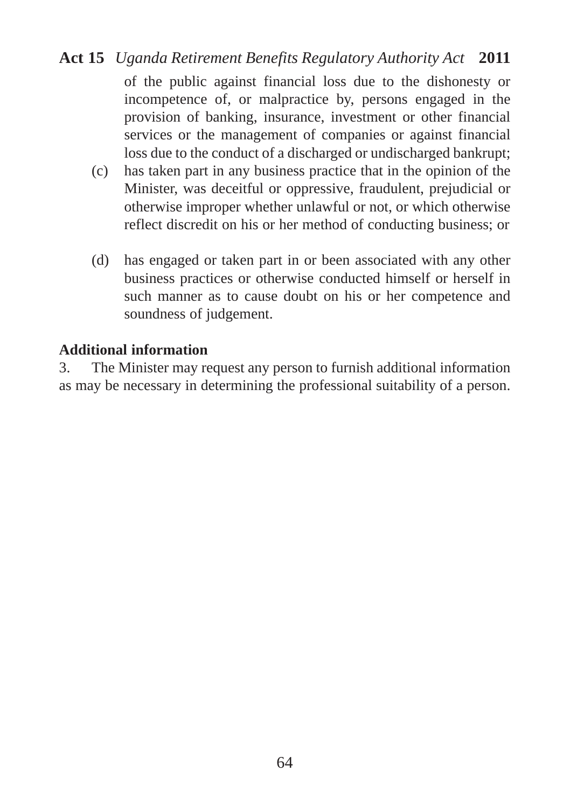of the public against financial loss due to the dishonesty or incompetence of, or malpractice by, persons engaged in the provision of banking, insurance, investment or other financial services or the management of companies or against financial loss due to the conduct of a discharged or undischarged bankrupt;

- (c) has taken part in any business practice that in the opinion of the Minister, was deceitful or oppressive, fraudulent, prejudicial or otherwise improper whether unlawful or not, or which otherwise reflect discredit on his or her method of conducting business; or
- (d) has engaged or taken part in or been associated with any other business practices or otherwise conducted himself or herself in such manner as to cause doubt on his or her competence and soundness of judgement.

#### **Additional information**

3. The Minister may request any person to furnish additional information as may be necessary in determining the professional suitability of a person.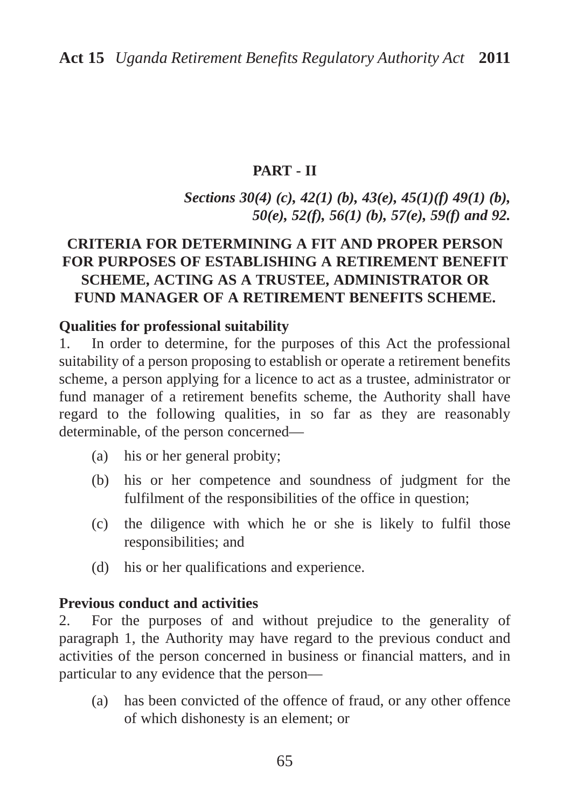#### **PART - II**

## *Sections 30(4) (c), 42(1) (b), 43(e), 45(1)(f) 49(1) (b), 50(e), 52(f), 56(1) (b), 57(e), 59(f) and 92.*

#### **CRITERIA FOR DETERMINING A FIT AND PROPER PERSON FOR PURPOSES OF ESTABLISHING A RETIREMENT BENEFIT SCHEME, ACTING AS A TRUSTEE, ADMINISTRATOR OR FUND MANAGER OF A RETIREMENT BENEFITS SCHEME.**

#### **Qualities for professional suitability**

1. In order to determine, for the purposes of this Act the professional suitability of a person proposing to establish or operate a retirement benefits scheme, a person applying for a licence to act as a trustee, administrator or fund manager of a retirement benefits scheme, the Authority shall have regard to the following qualities, in so far as they are reasonably determinable, of the person concerned—

- (a) his or her general probity;
- (b) his or her competence and soundness of judgment for the fulfilment of the responsibilities of the office in question;
- (c) the diligence with which he or she is likely to fulfil those responsibilities; and
- (d) his or her qualifications and experience.

#### **Previous conduct and activities**

2. For the purposes of and without prejudice to the generality of paragraph 1, the Authority may have regard to the previous conduct and activities of the person concerned in business or financial matters, and in particular to any evidence that the person—

(a) has been convicted of the offence of fraud, or any other offence of which dishonesty is an element; or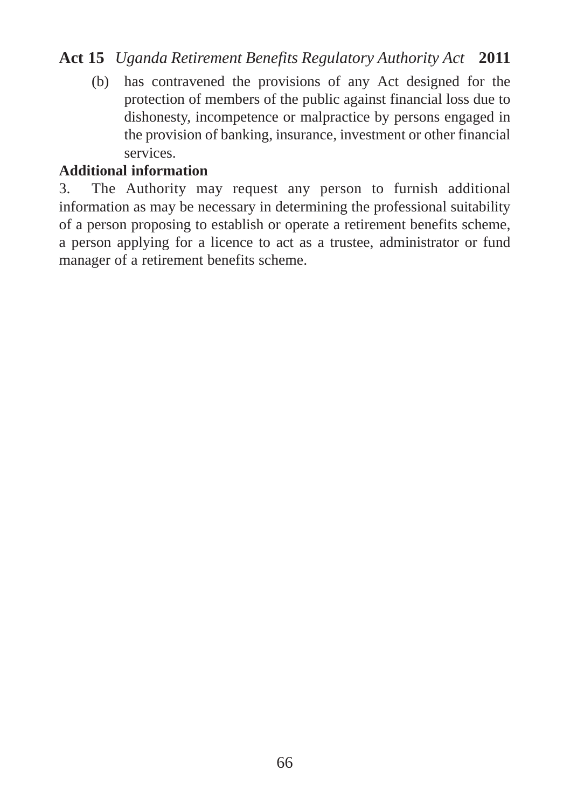(b) has contravened the provisions of any Act designed for the protection of members of the public against financial loss due to dishonesty, incompetence or malpractice by persons engaged in the provision of banking, insurance, investment or other financial services.

#### **Additional information**

3. The Authority may request any person to furnish additional information as may be necessary in determining the professional suitability of a person proposing to establish or operate a retirement benefits scheme, a person applying for a licence to act as a trustee, administrator or fund manager of a retirement benefits scheme.